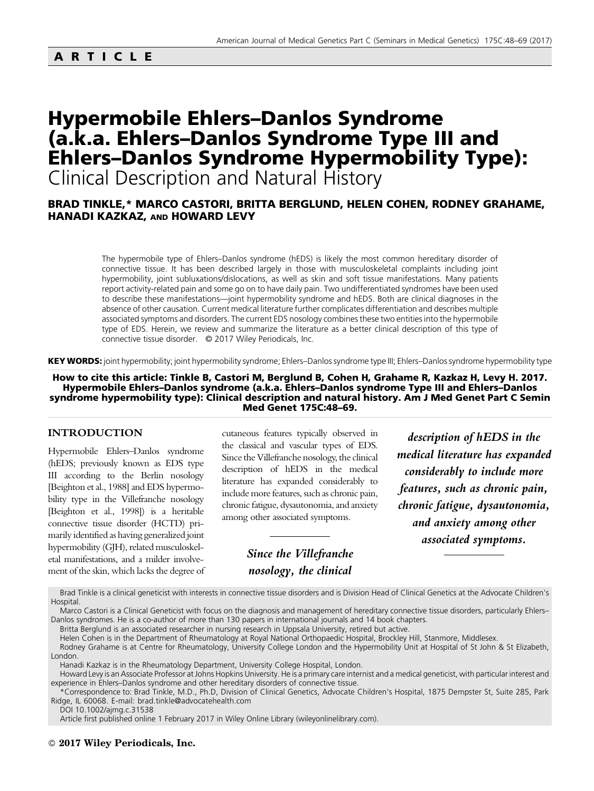# Hypermobile Ehlers–Danlos Syndrome (a.k.a. Ehlers–Danlos Syndrome Type III and Ehlers–Danlos Syndrome Hypermobility Type):

Clinical Description and Natural History

# BRAD TINKLE,\* MARCO CASTORI, BRITTA BERGLUND, HELEN COHEN, RODNEY GRAHAME, HANADI KAZKAZ, AND HOWARD LEVY

The hypermobile type of Ehlers–Danlos syndrome (hEDS) is likely the most common hereditary disorder of connective tissue. It has been described largely in those with musculoskeletal complaints including joint hypermobility, joint subluxations/dislocations, as well as skin and soft tissue manifestations. Many patients report activity-related pain and some go on to have daily pain. Two undifferentiated syndromes have been used to describe these manifestations—joint hypermobility syndrome and hEDS. Both are clinical diagnoses in the absence of other causation. Current medical literature further complicates differentiation and describes multiple associated symptoms and disorders. The current EDS nosology combines these two entities into the hypermobile type of EDS. Herein, we review and summarize the literature as a better clinical description of this type of connective tissue disorder. © 2017 Wiley Periodicals, Inc.

KEY WORDS: joint hypermobility; joint hypermobility syndrome; Ehlers–Danlos syndrome type III; Ehlers–Danlos syndrome hypermobility type

#### How to cite this article: Tinkle B, Castori M, Berglund B, Cohen H, Grahame R, Kazkaz H, Levy H. 2017. Hypermobile Ehlers–Danlos syndrome (a.k.a. Ehlers–Danlos syndrome Type III and Ehlers–Danlos syndrome hypermobility type): Clinical description and natural history. Am J Med Genet Part C Semin Med Genet 175C:48–69.

# INTRODUCTION

Hypermobile Ehlers–Danlos syndrome (hEDS; previously known as EDS type III according to the Berlin nosology [Beighton et al., 1988] and EDS hypermobility type in the Villefranche nosology [Beighton et al., 1998]) is a heritable connective tissue disorder (HCTD) primarily identified as having generalized joint hypermobility (GJH), related musculoskeletal manifestations, and a milder involvement of the skin, which lacks the degree of cutaneous features typically observed in the classical and vascular types of EDS. Since the Villefranche nosology, the clinical description of hEDS in the medical literature has expanded considerably to include more features, such as chronic pain, chronic fatigue, dysautonomia, and anxiety among other associated symptoms.

> Since the Villefranche nosology, the clinical

description of hEDS in the medical literature has expanded considerably to include more features, such as chronic pain, chronic fatigue, dysautonomia, and anxiety among other associated symptoms.

Brad Tinkle is a clinical geneticist with interests in connective tissue disorders and is Division Head of Clinical Genetics at the Advocate Children's **Hospital** 

Marco Castori is a Clinical Geneticist with focus on the diagnosis and management of hereditary connective tissue disorders, particularly Ehlers– Danlos syndromes. He is a co-author of more than 130 papers in international journals and 14 book chapters.

Britta Berglund is an associated researcher in nursing research in Uppsala University, retired but active.

Helen Cohen is in the Department of Rheumatology at Royal National Orthopaedic Hospital, Brockley Hill, Stanmore, Middlesex.

Rodney Grahame is at Centre for Rheumatology, University College London and the Hypermobility Unit at Hospital of St John & St Elizabeth, London.

Hanadi Kazkaz is in the Rheumatology Department, University College Hospital, London.

Howard Levy is an Associate Professor at Johns Hopkins University. He is a primary care internist and a medical geneticist, with particular interest and experience in Ehlers–Danlos syndrome and other hereditary disorders of connective tissue.

\*Correspondence to: Brad Tinkle, M.D., Ph.D, Division of Clinical Genetics, Advocate Children's Hospital, 1875 Dempster St, Suite 285, Park Ridge, IL 60068. E-mail: brad.tinkle@advocatehealth.com

DOI 10.1002/ajmg.c.31538

Article first published online 1 February 2017 in Wiley Online Library (wileyonlinelibrary.com).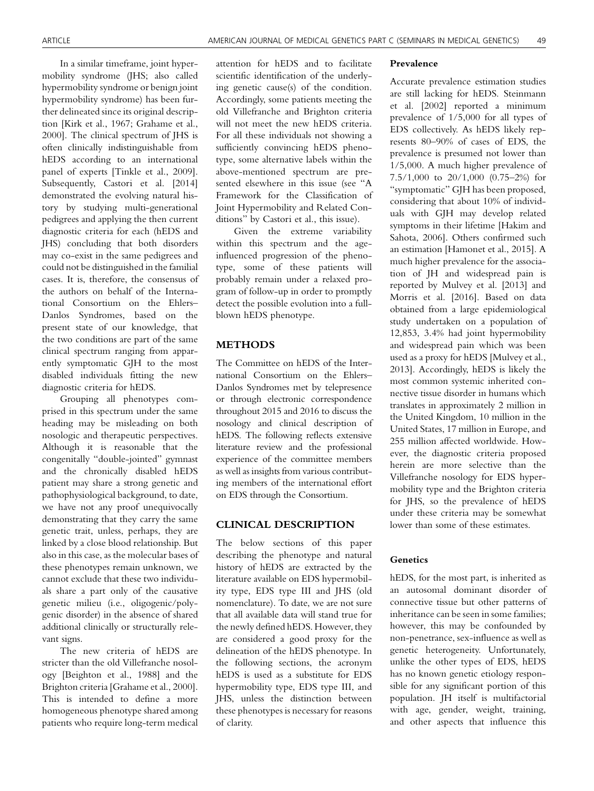In a similar timeframe, joint hypermobility syndrome (JHS; also called hypermobility syndrome or benign joint hypermobility syndrome) has been further delineated since its original description [Kirk et al., 1967; Grahame et al., 2000]. The clinical spectrum of JHS is often clinically indistinguishable from hEDS according to an international panel of experts [Tinkle et al., 2009]. Subsequently, Castori et al. [2014] demonstrated the evolving natural history by studying multi-generational pedigrees and applying the then current diagnostic criteria for each (hEDS and JHS) concluding that both disorders may co-exist in the same pedigrees and could not be distinguished in the familial cases. It is, therefore, the consensus of the authors on behalf of the International Consortium on the Ehlers– Danlos Syndromes, based on the present state of our knowledge, that the two conditions are part of the same clinical spectrum ranging from apparently symptomatic GJH to the most disabled individuals fitting the new diagnostic criteria for hEDS.

Grouping all phenotypes comprised in this spectrum under the same heading may be misleading on both nosologic and therapeutic perspectives. Although it is reasonable that the congenitally "double-jointed" gymnast and the chronically disabled hEDS patient may share a strong genetic and pathophysiological background, to date, we have not any proof unequivocally demonstrating that they carry the same genetic trait, unless, perhaps, they are linked by a close blood relationship. But also in this case, as the molecular bases of these phenotypes remain unknown, we cannot exclude that these two individuals share a part only of the causative genetic milieu (i.e., oligogenic/polygenic disorder) in the absence of shared additional clinically or structurally relevant signs.

The new criteria of hEDS are stricter than the old Villefranche nosology [Beighton et al., 1988] and the Brighton criteria [Grahame et al., 2000]. This is intended to define a more homogeneous phenotype shared among patients who require long-term medical

attention for hEDS and to facilitate scientific identification of the underlying genetic cause(s) of the condition. Accordingly, some patients meeting the old Villefranche and Brighton criteria will not meet the new hEDS criteria. For all these individuals not showing a sufficiently convincing hEDS phenotype, some alternative labels within the above-mentioned spectrum are presented elsewhere in this issue (see "A Framework for the Classification of Joint Hypermobility and Related Conditions" by Castori et al., this issue).

Given the extreme variability within this spectrum and the ageinfluenced progression of the phenotype, some of these patients will probably remain under a relaxed program of follow-up in order to promptly detect the possible evolution into a fullblown hEDS phenotype.

# METHODS

The Committee on hEDS of the International Consortium on the Ehlers– Danlos Syndromes met by telepresence or through electronic correspondence throughout 2015 and 2016 to discuss the nosology and clinical description of hEDS. The following reflects extensive literature review and the professional experience of the committee members as well as insights from various contributing members of the international effort on EDS through the Consortium.

# CLINICAL DESCRIPTION

The below sections of this paper describing the phenotype and natural history of hEDS are extracted by the literature available on EDS hypermobility type, EDS type III and JHS (old nomenclature). To date, we are not sure that all available data will stand true for the newly defined hEDS. However, they are considered a good proxy for the delineation of the hEDS phenotype. In the following sections, the acronym hEDS is used as a substitute for EDS hypermobility type, EDS type III, and JHS, unless the distinction between these phenotypes is necessary for reasons of clarity.

#### Prevalence

Accurate prevalence estimation studies are still lacking for hEDS. Steinmann et al. [2002] reported a minimum prevalence of 1/5,000 for all types of EDS collectively. As hEDS likely represents 80–90% of cases of EDS, the prevalence is presumed not lower than 1/5,000. A much higher prevalence of 7.5/1,000 to 20/1,000 (0.75–2%) for "symptomatic" GJH has been proposed, considering that about 10% of individuals with GJH may develop related symptoms in their lifetime [Hakim and Sahota, 2006]. Others confirmed such an estimation [Hamonet et al., 2015]. A much higher prevalence for the association of JH and widespread pain is reported by Mulvey et al. [2013] and Morris et al. [2016]. Based on data obtained from a large epidemiological study undertaken on a population of 12,853, 3.4% had joint hypermobility and widespread pain which was been used as a proxy for hEDS [Mulvey et al., 2013]. Accordingly, hEDS is likely the most common systemic inherited connective tissue disorder in humans which translates in approximately 2 million in the United Kingdom, 10 million in the United States, 17 million in Europe, and 255 million affected worldwide. However, the diagnostic criteria proposed herein are more selective than the Villefranche nosology for EDS hypermobility type and the Brighton criteria for JHS, so the prevalence of hEDS under these criteria may be somewhat lower than some of these estimates.

# Genetics

hEDS, for the most part, is inherited as an autosomal dominant disorder of connective tissue but other patterns of inheritance can be seen in some families; however, this may be confounded by non-penetrance, sex-influence as well as genetic heterogeneity. Unfortunately, unlike the other types of EDS, hEDS has no known genetic etiology responsible for any significant portion of this population. JH itself is multifactorial with age, gender, weight, training, and other aspects that influence this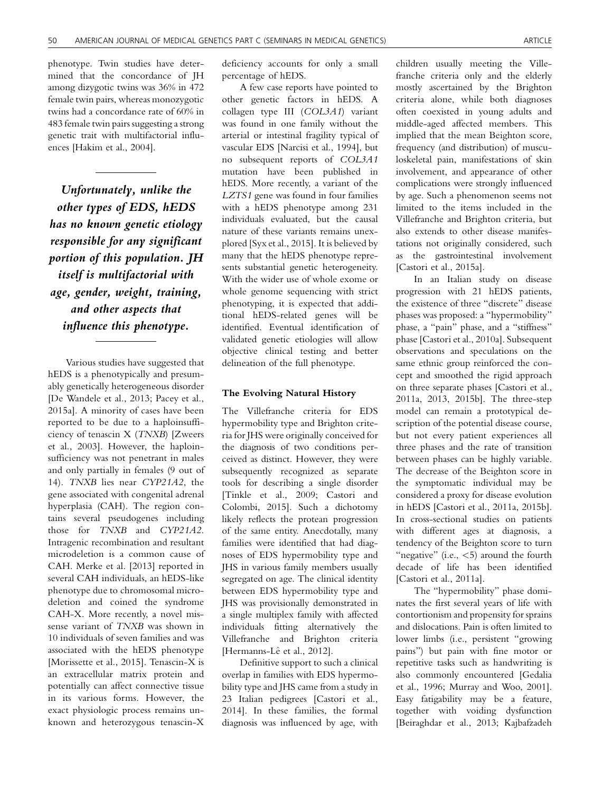phenotype. Twin studies have determined that the concordance of JH among dizygotic twins was 36% in 472 female twin pairs, whereas monozygotic twins had a concordance rate of 60% in 483 female twin pairs suggesting a strong genetic trait with multifactorial influences [Hakim et al., 2004].

Unfortunately, unlike the other types of EDS, hEDS has no known genetic etiology responsible for any significant portion of this population. JH itself is multifactorial with age, gender, weight, training, and other aspects that influence this phenotype.

Various studies have suggested that hEDS is a phenotypically and presumably genetically heterogeneous disorder [De Wandele et al., 2013; Pacey et al., 2015a]. A minority of cases have been reported to be due to a haploinsufficiency of tenascin X (TNXB) [Zweers et al., 2003]. However, the haploinsufficiency was not penetrant in males and only partially in females (9 out of 14). TNXB lies near CYP21A2, the gene associated with congenital adrenal hyperplasia (CAH). The region contains several pseudogenes including those for TNXB and CYP21A2. Intragenic recombination and resultant microdeletion is a common cause of CAH. Merke et al. [2013] reported in several CAH individuals, an hEDS-like phenotype due to chromosomal microdeletion and coined the syndrome CAH-X. More recently, a novel missense variant of TNXB was shown in 10 individuals of seven families and was associated with the hEDS phenotype [Morissette et al., 2015]. Tenascin-X is an extracellular matrix protein and potentially can affect connective tissue in its various forms. However, the exact physiologic process remains unknown and heterozygous tenascin-X

deficiency accounts for only a small percentage of hEDS.

A few case reports have pointed to other genetic factors in hEDS. A collagen type III (COL3A1) variant was found in one family without the arterial or intestinal fragility typical of vascular EDS [Narcisi et al., 1994], but no subsequent reports of COL3A1 mutation have been published in hEDS. More recently, a variant of the LZTS1 gene was found in four families with a hEDS phenotype among 231 individuals evaluated, but the causal nature of these variants remains unexplored [Syx et al., 2015]. It is believed by many that the hEDS phenotype represents substantial genetic heterogeneity. With the wider use of whole exome or whole genome sequencing with strict phenotyping, it is expected that additional hEDS-related genes will be identified. Eventual identification of validated genetic etiologies will allow objective clinical testing and better delineation of the full phenotype.

# The Evolving Natural History

The Villefranche criteria for EDS hypermobility type and Brighton criteria for JHS were originally conceived for the diagnosis of two conditions perceived as distinct. However, they were subsequently recognized as separate tools for describing a single disorder [Tinkle et al., 2009; Castori and Colombi, 2015]. Such a dichotomy likely reflects the protean progression of the same entity. Anecdotally, many families were identified that had diagnoses of EDS hypermobility type and JHS in various family members usually segregated on age. The clinical identity between EDS hypermobility type and JHS was provisionally demonstrated in a single multiplex family with affected individuals fitting alternatively the Villefranche and Brighton criteria [Hermanns-Lê et al., 2012].

Definitive support to such a clinical overlap in families with EDS hypermobility type and JHS came from a study in 23 Italian pedigrees [Castori et al., 2014]. In these families, the formal diagnosis was influenced by age, with children usually meeting the Villefranche criteria only and the elderly mostly ascertained by the Brighton criteria alone, while both diagnoses often coexisted in young adults and middle-aged affected members. This implied that the mean Beighton score, frequency (and distribution) of musculoskeletal pain, manifestations of skin involvement, and appearance of other complications were strongly influenced by age. Such a phenomenon seems not limited to the items included in the Villefranche and Brighton criteria, but also extends to other disease manifestations not originally considered, such as the gastrointestinal involvement [Castori et al., 2015a].

In an Italian study on disease progression with 21 hEDS patients, the existence of three "discrete" disease phases was proposed: a "hypermobility" phase, a "pain" phase, and a "stiffness" phase [Castori et al., 2010a]. Subsequent observations and speculations on the same ethnic group reinforced the concept and smoothed the rigid approach on three separate phases [Castori et al., 2011a, 2013, 2015b]. The three-step model can remain a prototypical description of the potential disease course, but not every patient experiences all three phases and the rate of transition between phases can be highly variable. The decrease of the Beighton score in the symptomatic individual may be considered a proxy for disease evolution in hEDS [Castori et al., 2011a, 2015b]. In cross-sectional studies on patients with different ages at diagnosis, a tendency of the Beighton score to turn "negative" (i.e., <5) around the fourth decade of life has been identified [Castori et al., 2011a].

The "hypermobility" phase dominates the first several years of life with contortionism and propensity for sprains and dislocations. Pain is often limited to lower limbs (i.e., persistent "growing pains") but pain with fine motor or repetitive tasks such as handwriting is also commonly encountered [Gedalia et al., 1996; Murray and Woo, 2001]. Easy fatigability may be a feature, together with voiding dysfunction [Beiraghdar et al., 2013; Kajbafzadeh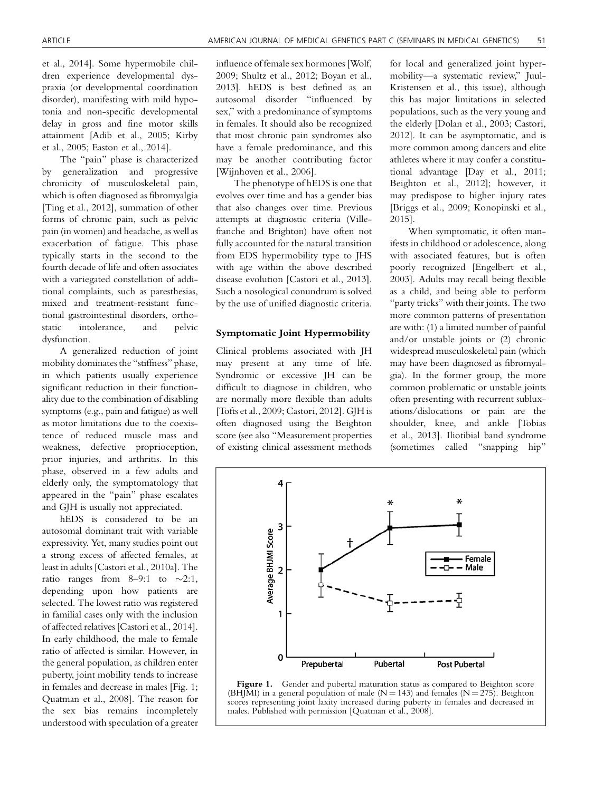et al., 2014]. Some hypermobile children experience developmental dyspraxia (or developmental coordination disorder), manifesting with mild hypotonia and non-specific developmental delay in gross and fine motor skills attainment [Adib et al., 2005; Kirby et al., 2005; Easton et al., 2014].

The "pain" phase is characterized by generalization and progressive chronicity of musculoskeletal pain, which is often diagnosed as fibromyalgia [Ting et al., 2012], summation of other forms of chronic pain, such as pelvic pain (in women) and headache, as well as exacerbation of fatigue. This phase typically starts in the second to the fourth decade of life and often associates with a variegated constellation of additional complaints, such as paresthesias, mixed and treatment-resistant functional gastrointestinal disorders, orthostatic intolerance, and pelvic dysfunction.

A generalized reduction of joint mobility dominates the "stiffness" phase, in which patients usually experience significant reduction in their functionality due to the combination of disabling symptoms (e.g., pain and fatigue) as well as motor limitations due to the coexistence of reduced muscle mass and weakness, defective proprioception, prior injuries, and arthritis. In this phase, observed in a few adults and elderly only, the symptomatology that appeared in the "pain" phase escalates and GJH is usually not appreciated.

hEDS is considered to be an autosomal dominant trait with variable expressivity. Yet, many studies point out a strong excess of affected females, at least in adults [Castori et al., 2010a]. The ratio ranges from 8–9:1 to  $\sim$ 2:1, depending upon how patients are selected. The lowest ratio was registered in familial cases only with the inclusion of affected relatives [Castori et al., 2014]. In early childhood, the male to female ratio of affected is similar. However, in the general population, as children enter puberty, joint mobility tends to increase in females and decrease in males [Fig. 1; Quatman et al., 2008]. The reason for the sex bias remains incompletely understood with speculation of a greater influence of female sex hormones [Wolf, 2009; Shultz et al., 2012; Boyan et al., 2013]. hEDS is best defined as an autosomal disorder "influenced by sex," with a predominance of symptoms in females. It should also be recognized that most chronic pain syndromes also have a female predominance, and this may be another contributing factor [Wijnhoven et al., 2006].

The phenotype of hEDS is one that evolves over time and has a gender bias that also changes over time. Previous attempts at diagnostic criteria (Villefranche and Brighton) have often not fully accounted for the natural transition from EDS hypermobility type to JHS with age within the above described disease evolution [Castori et al., 2013]. Such a nosological conundrum is solved by the use of unified diagnostic criteria.

# Symptomatic Joint Hypermobility

Clinical problems associated with JH may present at any time of life. Syndromic or excessive JH can be difficult to diagnose in children, who are normally more flexible than adults [Tofts et al., 2009; Castori, 2012]. GJH is often diagnosed using the Beighton score (see also "Measurement properties of existing clinical assessment methods for local and generalized joint hypermobility—a systematic review," Juul-Kristensen et al., this issue), although this has major limitations in selected populations, such as the very young and the elderly [Dolan et al., 2003; Castori, 2012]. It can be asymptomatic, and is more common among dancers and elite athletes where it may confer a constitutional advantage [Day et al., 2011; Beighton et al., 2012]; however, it may predispose to higher injury rates [Briggs et al., 2009; Konopinski et al., 2015].

When symptomatic, it often manifests in childhood or adolescence, along with associated features, but is often poorly recognized [Engelbert et al., 2003]. Adults may recall being flexible as a child, and being able to perform "party tricks" with their joints. The two more common patterns of presentation are with: (1) a limited number of painful and/or unstable joints or (2) chronic widespread musculoskeletal pain (which may have been diagnosed as fibromyalgia). In the former group, the more common problematic or unstable joints often presenting with recurrent subluxations/dislocations or pain are the shoulder, knee, and ankle [Tobias et al., 2013]. Iliotibial band syndrome (sometimes called "snapping hip"



Figure 1. Gender and pubertal maturation status as compared to Beighton score (BHJMI) in a general population of male ( $N = 143$ ) and females ( $N = 275$ ). Beighton scores representing joint laxity increased during puberty in females and decreased in males. Published with permission [Quatman et al., 2008].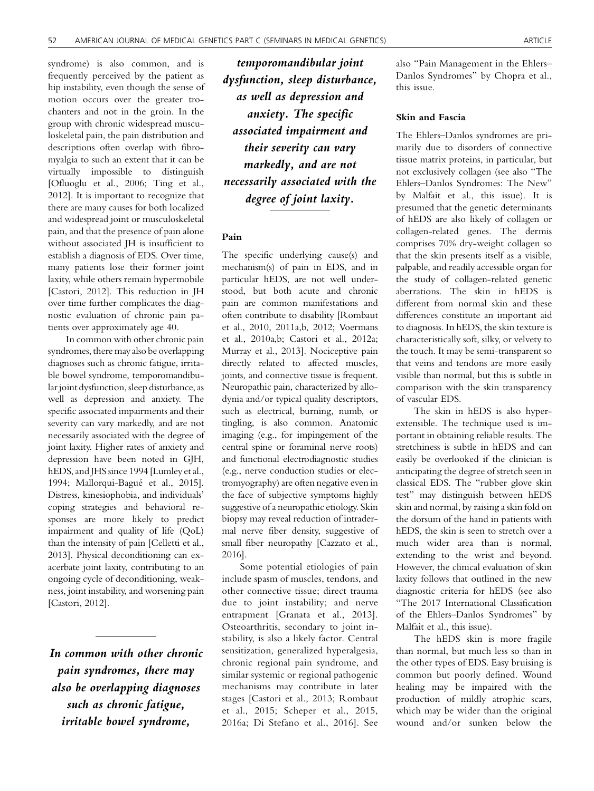syndrome) is also common, and is frequently perceived by the patient as hip instability, even though the sense of motion occurs over the greater trochanters and not in the groin. In the group with chronic widespread musculoskeletal pain, the pain distribution and descriptions often overlap with fibromyalgia to such an extent that it can be virtually impossible to distinguish [Ofluoglu et al., 2006; Ting et al., 2012]. It is important to recognize that there are many causes for both localized and widespread joint or musculoskeletal pain, and that the presence of pain alone without associated JH is insufficient to establish a diagnosis of EDS. Over time, many patients lose their former joint laxity, while others remain hypermobile [Castori, 2012]. This reduction in JH over time further complicates the diagnostic evaluation of chronic pain patients over approximately age 40.

In common with other chronic pain syndromes, there may also be overlapping diagnoses such as chronic fatigue, irritable bowel syndrome, temporomandibular joint dysfunction, sleep disturbance, as well as depression and anxiety. The specific associated impairments and their severity can vary markedly, and are not necessarily associated with the degree of joint laxity. Higher rates of anxiety and depression have been noted in GJH, hEDS, and JHS since 1994 [Lumley et al., 1994; Mallorqui-Bagué et al., 2015]. Distress, kinesiophobia, and individuals' coping strategies and behavioral responses are more likely to predict impairment and quality of life (QoL) than the intensity of pain [Celletti et al., 2013]. Physical deconditioning can exacerbate joint laxity, contributing to an ongoing cycle of deconditioning, weakness, joint instability, and worsening pain [Castori, 2012].

In common with other chronic pain syndromes, there may also be overlapping diagnoses such as chronic fatigue, irritable bowel syndrome,

temporomandibular joint dysfunction, sleep disturbance, as well as depression and anxiety. The specific associated impairment and their severity can vary markedly, and are not necessarily associated with the degree of joint laxity.

# Pain

The specific underlying cause(s) and mechanism(s) of pain in EDS, and in particular hEDS, are not well understood, but both acute and chronic pain are common manifestations and often contribute to disability [Rombaut et al., 2010, 2011a,b, 2012; Voermans et al., 2010a,b; Castori et al., 2012a; Murray et al., 2013]. Nociceptive pain directly related to affected muscles, joints, and connective tissue is frequent. Neuropathic pain, characterized by allodynia and/or typical quality descriptors, such as electrical, burning, numb, or tingling, is also common. Anatomic imaging (e.g., for impingement of the central spine or foraminal nerve roots) and functional electrodiagnostic studies (e.g., nerve conduction studies or electromyography) are often negative even in the face of subjective symptoms highly suggestive of a neuropathic etiology. Skin biopsy may reveal reduction of intradermal nerve fiber density, suggestive of small fiber neuropathy [Cazzato et al., 2016].

Some potential etiologies of pain include spasm of muscles, tendons, and other connective tissue; direct trauma due to joint instability; and nerve entrapment [Granata et al., 2013]. Osteoarthritis, secondary to joint instability, is also a likely factor. Central sensitization, generalized hyperalgesia, chronic regional pain syndrome, and similar systemic or regional pathogenic mechanisms may contribute in later stages [Castori et al., 2013; Rombaut et al., 2015; Scheper et al., 2015, 2016a; Di Stefano et al., 2016]. See

also "Pain Management in the Ehlers– Danlos Syndromes" by Chopra et al., this issue.

# Skin and Fascia

The Ehlers–Danlos syndromes are primarily due to disorders of connective tissue matrix proteins, in particular, but not exclusively collagen (see also "The Ehlers–Danlos Syndromes: The New" by Malfait et al., this issue). It is presumed that the genetic determinants of hEDS are also likely of collagen or collagen-related genes. The dermis comprises 70% dry-weight collagen so that the skin presents itself as a visible, palpable, and readily accessible organ for the study of collagen-related genetic aberrations. The skin in hEDS is different from normal skin and these differences constitute an important aid to diagnosis. In hEDS, the skin texture is characteristically soft, silky, or velvety to the touch. It may be semi-transparent so that veins and tendons are more easily visible than normal, but this is subtle in comparison with the skin transparency of vascular EDS.

The skin in hEDS is also hyperextensible. The technique used is important in obtaining reliable results. The stretchiness is subtle in hEDS and can easily be overlooked if the clinician is anticipating the degree of stretch seen in classical EDS. The "rubber glove skin test" may distinguish between hEDS skin and normal, by raising a skin fold on the dorsum of the hand in patients with hEDS, the skin is seen to stretch over a much wider area than is normal, extending to the wrist and beyond. However, the clinical evaluation of skin laxity follows that outlined in the new diagnostic criteria for hEDS (see also "The 2017 International Classification of the Ehlers–Danlos Syndromes" by Malfait et al., this issue).

The hEDS skin is more fragile than normal, but much less so than in the other types of EDS. Easy bruising is common but poorly defined. Wound healing may be impaired with the production of mildly atrophic scars, which may be wider than the original wound and/or sunken below the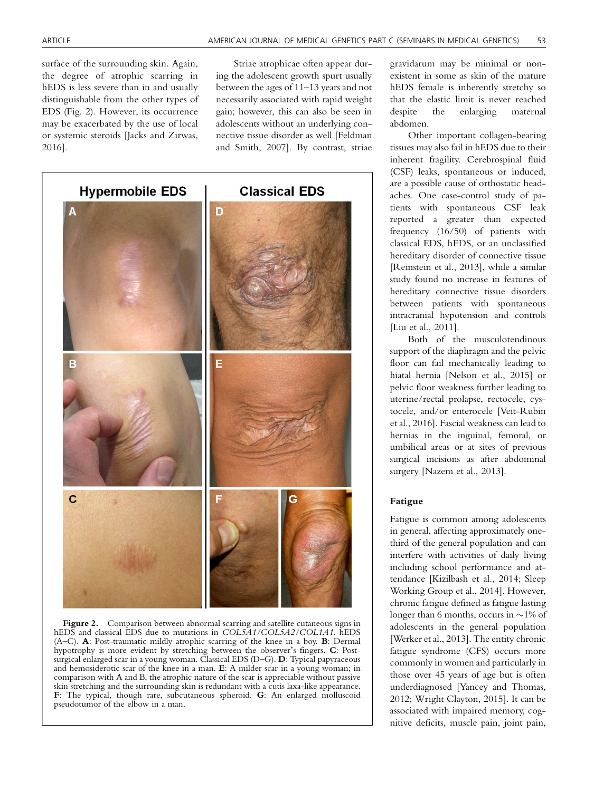surface of the surrounding skin. Again, the degree of atrophic scarring in hEDS is less severe than in and usually distinguishable from the other types of EDS (Fig. 2). However, its occurrence may be exacerbated by the use of local or systemic steroids [Jacks and Zirwas, 2016].

Striae atrophicae often appear during the adolescent growth spurt usually between the ages of 11–13 years and not necessarily associated with rapid weight gain; however, this can also be seen in adolescents without an underlying connective tissue disorder as well [Feldman and Smith, 2007]. By contrast, striae



Figure 2. Comparison between abnormal scarring and satellite cutaneous signs in hEDS and classical EDS due to mutations in COL5A1/COL5A2/COL1A1. hEDS (A–C). A: Post-traumatic mildly atrophic scarring of the knee in a boy. B: Dermal hypotrophy is more evident by stretching between the observer's fingers. C: Postsurgical enlarged scar in a young woman. Classical EDS (D–G). D: Typical papyraceous and hemosiderotic scar of the knee in a man. E: A milder scar in a young woman; in comparison with A and B, the atrophic nature of the scar is appreciable without passive skin stretching and the surrounding skin is redundant with a cutis laxa-like appearance. F: The typical, though rare, subcutaneous spheroid. G: An enlarged molluscoid pseudotumor of the elbow in a man.

gravidarum may be minimal or nonexistent in some as skin of the mature hEDS female is inherently stretchy so that the elastic limit is never reached despite the enlarging maternal abdomen.

Other important collagen-bearing tissues may also fail in hEDS due to their inherent fragility. Cerebrospinal fluid (CSF) leaks, spontaneous or induced, are a possible cause of orthostatic headaches. One case-control study of patients with spontaneous CSF leak reported a greater than expected frequency (16/50) of patients with classical EDS, hEDS, or an unclassified hereditary disorder of connective tissue [Reinstein et al., 2013], while a similar study found no increase in features of hereditary connective tissue disorders between patients with spontaneous intracranial hypotension and controls [Liu et al., 2011].

Both of the musculotendinous support of the diaphragm and the pelvic floor can fail mechanically leading to hiatal hernia [Nelson et al., 2015] or pelvic floor weakness further leading to uterine/rectal prolapse, rectocele, cystocele, and/or enterocele [Veit-Rubin et al., 2016]. Fascial weakness can lead to hernias in the inguinal, femoral, or umbilical areas or at sites of previous surgical incisions as after abdominal surgery [Nazem et al., 2013].

# Fatigue

Fatigue is common among adolescents in general, affecting approximately onethird of the general population and can interfere with activities of daily living including school performance and attendance [Kizilbash et al., 2014; Sleep Working Group et al., 2014]. However, chronic fatigue defined as fatigue lasting longer than 6 months, occurs in  $\sim$ 1% of adolescents in the general population [Werker et al., 2013]. The entity chronic fatigue syndrome (CFS) occurs more commonly in women and particularly in those over 45 years of age but is often underdiagnosed [Yancey and Thomas, 2012; Wright Clayton, 2015]. It can be associated with impaired memory, cognitive deficits, muscle pain, joint pain,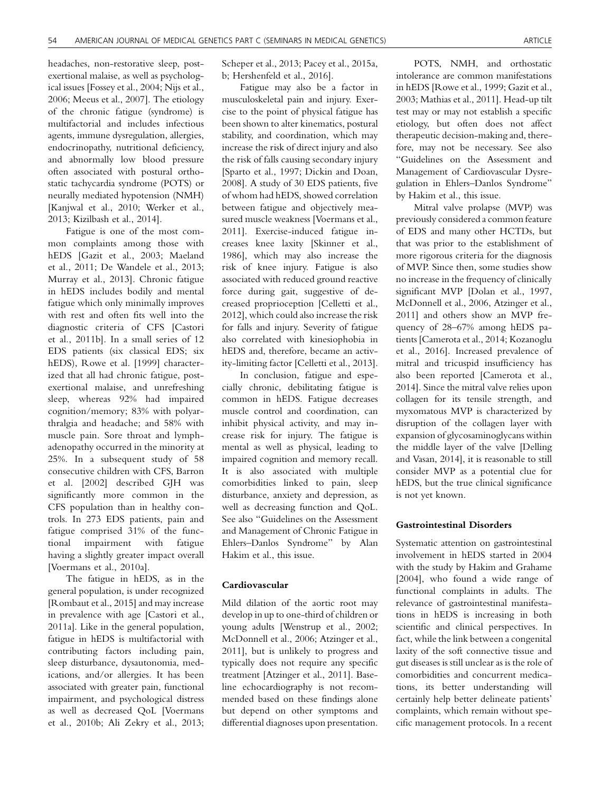headaches, non-restorative sleep, postexertional malaise, as well as psychological issues [Fossey et al., 2004; Nijs et al., 2006; Meeus et al., 2007]. The etiology of the chronic fatigue (syndrome) is multifactorial and includes infectious agents, immune dysregulation, allergies, endocrinopathy, nutritional deficiency, and abnormally low blood pressure often associated with postural orthostatic tachycardia syndrome (POTS) or neurally mediated hypotension (NMH) [Kanjwal et al., 2010; Werker et al., 2013; Kizilbash et al., 2014].

Fatigue is one of the most common complaints among those with hEDS [Gazit et al., 2003; Maeland et al., 2011; De Wandele et al., 2013; Murray et al., 2013]. Chronic fatigue in hEDS includes bodily and mental fatigue which only minimally improves with rest and often fits well into the diagnostic criteria of CFS [Castori et al., 2011b]. In a small series of 12 EDS patients (six classical EDS; six hEDS), Rowe et al. [1999] characterized that all had chronic fatigue, postexertional malaise, and unrefreshing sleep, whereas 92% had impaired cognition/memory; 83% with polyarthralgia and headache; and 58% with muscle pain. Sore throat and lymphadenopathy occurred in the minority at 25%. In a subsequent study of 58 consecutive children with CFS, Barron et al. [2002] described GJH was significantly more common in the CFS population than in healthy controls. In 273 EDS patients, pain and fatigue comprised 31% of the functional impairment with fatigue having a slightly greater impact overall [Voermans et al., 2010a].

The fatigue in hEDS, as in the general population, is under recognized [Rombaut et al., 2015] and may increase in prevalence with age [Castori et al., 2011a]. Like in the general population, fatigue in hEDS is multifactorial with contributing factors including pain, sleep disturbance, dysautonomia, medications, and/or allergies. It has been associated with greater pain, functional impairment, and psychological distress as well as decreased QoL [Voermans et al., 2010b; Ali Zekry et al., 2013;

Scheper et al., 2013; Pacey et al., 2015a, b; Hershenfeld et al., 2016].

Fatigue may also be a factor in musculoskeletal pain and injury. Exercise to the point of physical fatigue has been shown to alter kinematics, postural stability, and coordination, which may increase the risk of direct injury and also the risk of falls causing secondary injury [Sparto et al., 1997; Dickin and Doan, 2008]. A study of 30 EDS patients, five of whom had hEDS, showed correlation between fatigue and objectively measured muscle weakness [Voermans et al., 2011]. Exercise-induced fatigue increases knee laxity [Skinner et al., 1986], which may also increase the risk of knee injury. Fatigue is also associated with reduced ground reactive force during gait, suggestive of decreased proprioception [Celletti et al., 2012], which could also increase the risk for falls and injury. Severity of fatigue also correlated with kinesiophobia in hEDS and, therefore, became an activity-limiting factor [Celletti et al., 2013].

In conclusion, fatigue and especially chronic, debilitating fatigue is common in hEDS. Fatigue decreases muscle control and coordination, can inhibit physical activity, and may increase risk for injury. The fatigue is mental as well as physical, leading to impaired cognition and memory recall. It is also associated with multiple comorbidities linked to pain, sleep disturbance, anxiety and depression, as well as decreasing function and QoL. See also "Guidelines on the Assessment and Management of Chronic Fatigue in Ehlers–Danlos Syndrome" by Alan Hakim et al., this issue.

#### Cardiovascular

Mild dilation of the aortic root may develop in up to one-third of children or young adults [Wenstrup et al., 2002; McDonnell et al., 2006; Atzinger et al., 2011], but is unlikely to progress and typically does not require any specific treatment [Atzinger et al., 2011]. Baseline echocardiography is not recommended based on these findings alone but depend on other symptoms and differential diagnoses upon presentation.

POTS, NMH, and orthostatic intolerance are common manifestations in hEDS [Rowe et al., 1999; Gazit et al., 2003; Mathias et al., 2011]. Head-up tilt test may or may not establish a specific etiology, but often does not affect therapeutic decision-making and, therefore, may not be necessary. See also "Guidelines on the Assessment and Management of Cardiovascular Dysregulation in Ehlers–Danlos Syndrome" by Hakim et al., this issue.

Mitral valve prolapse (MVP) was previously considered a common feature of EDS and many other HCTDs, but that was prior to the establishment of more rigorous criteria for the diagnosis of MVP. Since then, some studies show no increase in the frequency of clinically significant MVP [Dolan et al., 1997, McDonnell et al., 2006, Atzinger et al., 2011] and others show an MVP frequency of 28–67% among hEDS patients [Camerota et al., 2014; Kozanoglu et al., 2016]. Increased prevalence of mitral and tricuspid insufficiency has also been reported [Camerota et al., 2014]. Since the mitral valve relies upon collagen for its tensile strength, and myxomatous MVP is characterized by disruption of the collagen layer with expansion of glycosaminoglycans within the middle layer of the valve [Delling and Vasan, 2014], it is reasonable to still consider MVP as a potential clue for hEDS, but the true clinical significance is not yet known.

#### Gastrointestinal Disorders

Systematic attention on gastrointestinal involvement in hEDS started in 2004 with the study by Hakim and Grahame [2004], who found a wide range of functional complaints in adults. The relevance of gastrointestinal manifestations in hEDS is increasing in both scientific and clinical perspectives. In fact, while the link between a congenital laxity of the soft connective tissue and gut diseases is still unclear as is the role of comorbidities and concurrent medications, its better understanding will certainly help better delineate patients' complaints, which remain without specific management protocols. In a recent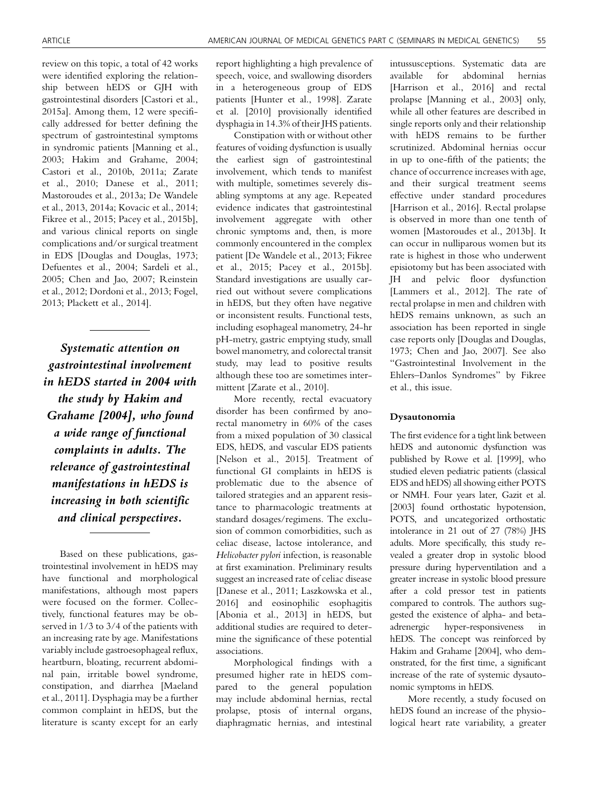review on this topic, a total of 42 works were identified exploring the relationship between hEDS or GJH with gastrointestinal disorders [Castori et al., 2015a]. Among them, 12 were specifically addressed for better defining the spectrum of gastrointestinal symptoms in syndromic patients [Manning et al., 2003; Hakim and Grahame, 2004; Castori et al., 2010b, 2011a; Zarate et al., 2010; Danese et al., 2011; Mastoroudes et al., 2013a; De Wandele et al., 2013, 2014a; Kovacic et al., 2014; Fikree et al., 2015; Pacey et al., 2015b], and various clinical reports on single complications and/or surgical treatment in EDS [Douglas and Douglas, 1973; Defuentes et al., 2004; Sardeli et al., 2005; Chen and Jao, 2007; Reinstein et al., 2012; Dordoni et al., 2013; Fogel, 2013; Plackett et al., 2014].

Systematic attention on gastrointestinal involvement in hEDS started in 2004 with the study by Hakim and Grahame [2004], who found a wide range of functional complaints in adults. The relevance of gastrointestinal manifestations in hEDS is increasing in both scientific and clinical perspectives.

report highlighting a high prevalence of speech, voice, and swallowing disorders in a heterogeneous group of EDS patients [Hunter et al., 1998]. Zarate et al. [2010] provisionally identified dysphagia in 14.3% of their JHS patients.

Constipation with or without other features of voiding dysfunction is usually the earliest sign of gastrointestinal involvement, which tends to manifest with multiple, sometimes severely disabling symptoms at any age. Repeated evidence indicates that gastrointestinal involvement aggregate with other chronic symptoms and, then, is more commonly encountered in the complex patient [De Wandele et al., 2013; Fikree et al., 2015; Pacey et al., 2015b]. Standard investigations are usually carried out without severe complications in hEDS, but they often have negative or inconsistent results. Functional tests, including esophageal manometry, 24-hr pH-metry, gastric emptying study, small bowel manometry, and colorectal transit study, may lead to positive results although these too are sometimes intermittent [Zarate et al., 2010].

More recently, rectal evacuatory disorder has been confirmed by anorectal manometry in 60% of the cases from a mixed population of 30 classical EDS, hEDS, and vascular EDS patients [Nelson et al., 2015]. Treatment of functional GI complaints in hEDS is problematic due to the absence of tailored strategies and an apparent resistance to pharmacologic treatments at standard dosages/regimens. The exclusion of common comorbidities, such as celiac disease, lactose intolerance, and Helicobacter pylori infection, is reasonable at first examination. Preliminary results suggest an increased rate of celiac disease [Danese et al., 2011; Laszkowska et al., 2016] and eosinophilic esophagitis [Abonia et al., 2013] in hEDS, but additional studies are required to determine the significance of these potential associations.

Morphological findings with a presumed higher rate in hEDS compared to the general population may include abdominal hernias, rectal prolapse, ptosis of internal organs, diaphragmatic hernias, and intestinal

intussusceptions. Systematic data are available for abdominal hernias [Harrison et al., 2016] and rectal prolapse [Manning et al., 2003] only, while all other features are described in single reports only and their relationship with hEDS remains to be further scrutinized. Abdominal hernias occur in up to one-fifth of the patients; the chance of occurrence increases with age, and their surgical treatment seems effective under standard procedures [Harrison et al., 2016]. Rectal prolapse is observed in more than one tenth of women [Mastoroudes et al., 2013b]. It can occur in nulliparous women but its rate is highest in those who underwent episiotomy but has been associated with JH and pelvic floor dysfunction [Lammers et al., 2012]. The rate of rectal prolapse in men and children with hEDS remains unknown, as such an association has been reported in single case reports only [Douglas and Douglas, 1973; Chen and Jao, 2007]. See also "Gastrointestinal Involvement in the Ehlers–Danlos Syndromes" by Fikree et al., this issue.

# Dysautonomia

The first evidence for a tight link between hEDS and autonomic dysfunction was published by Rowe et al. [1999], who studied eleven pediatric patients (classical EDS and hEDS) all showing either POTS or NMH. Four years later, Gazit et al. [2003] found orthostatic hypotension, POTS, and uncategorized orthostatic intolerance in 21 out of 27 (78%) JHS adults. More specifically, this study revealed a greater drop in systolic blood pressure during hyperventilation and a greater increase in systolic blood pressure after a cold pressor test in patients compared to controls. The authors suggested the existence of alpha- and betaadrenergic hyper-responsiveness hEDS. The concept was reinforced by Hakim and Grahame [2004], who demonstrated, for the first time, a significant increase of the rate of systemic dysautonomic symptoms in hEDS.

More recently, a study focused on hEDS found an increase of the physiological heart rate variability, a greater

Based on these publications, gastrointestinal involvement in hEDS may have functional and morphological manifestations, although most papers were focused on the former. Collectively, functional features may be observed in 1/3 to 3/4 of the patients with an increasing rate by age. Manifestations variably include gastroesophageal reflux, heartburn, bloating, recurrent abdominal pain, irritable bowel syndrome, constipation, and diarrhea [Maeland et al., 2011]. Dysphagia may be a further common complaint in hEDS, but the literature is scanty except for an early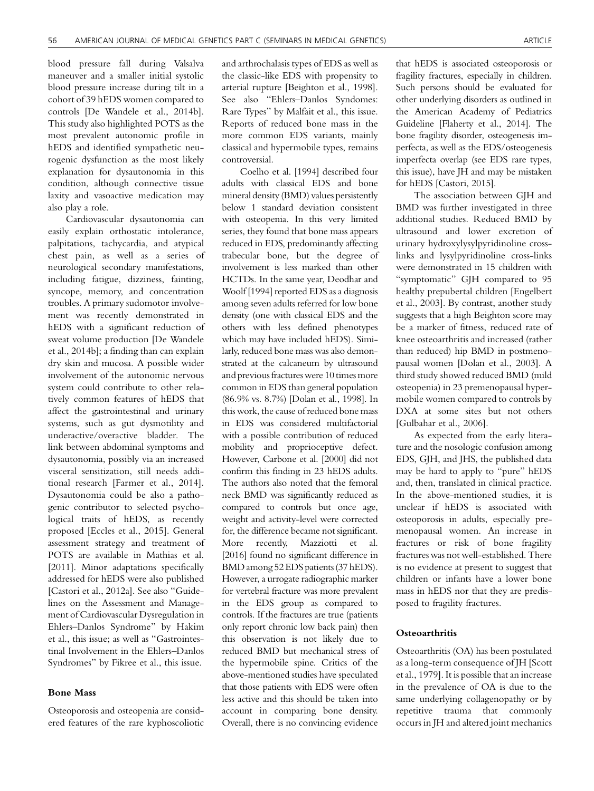blood pressure fall during Valsalva maneuver and a smaller initial systolic blood pressure increase during tilt in a cohort of 39 hEDS women compared to controls [De Wandele et al., 2014b]. This study also highlighted POTS as the most prevalent autonomic profile in hEDS and identified sympathetic neurogenic dysfunction as the most likely explanation for dysautonomia in this condition, although connective tissue laxity and vasoactive medication may also play a role.

Cardiovascular dysautonomia can easily explain orthostatic intolerance, palpitations, tachycardia, and atypical chest pain, as well as a series of neurological secondary manifestations, including fatigue, dizziness, fainting, syncope, memory, and concentration troubles. A primary sudomotor involvement was recently demonstrated in hEDS with a significant reduction of sweat volume production [De Wandele et al., 2014b]; a finding than can explain dry skin and mucosa. A possible wider involvement of the autonomic nervous system could contribute to other relatively common features of hEDS that affect the gastrointestinal and urinary systems, such as gut dysmotility and underactive/overactive bladder. The link between abdominal symptoms and dysautonomia, possibly via an increased visceral sensitization, still needs additional research [Farmer et al., 2014]. Dysautonomia could be also a pathogenic contributor to selected psychological traits of hEDS, as recently proposed [Eccles et al., 2015]. General assessment strategy and treatment of POTS are available in Mathias et al. [2011]. Minor adaptations specifically addressed for hEDS were also published [Castori et al., 2012a]. See also "Guidelines on the Assessment and Management of Cardiovascular Dysregulation in Ehlers–Danlos Syndrome" by Hakim et al., this issue; as well as "Gastrointestinal Involvement in the Ehlers–Danlos Syndromes" by Fikree et al., this issue.

#### Bone Mass

Osteoporosis and osteopenia are considered features of the rare kyphoscoliotic and arthrochalasis types of EDS as well as the classic-like EDS with propensity to arterial rupture [Beighton et al., 1998]. See also "Ehlers–Danlos Syndomes: Rare Types" by Malfait et al., this issue. Reports of reduced bone mass in the more common EDS variants, mainly classical and hypermobile types, remains controversial.

Coelho et al. [1994] described four adults with classical EDS and bone mineral density (BMD) values persistently below 1 standard deviation consistent with osteopenia. In this very limited series, they found that bone mass appears reduced in EDS, predominantly affecting trabecular bone, but the degree of involvement is less marked than other HCTDs. In the same year, Deodhar and Woolf [1994] reported EDS as a diagnosis among seven adults referred for low bone density (one with classical EDS and the others with less defined phenotypes which may have included hEDS). Similarly, reduced bone mass was also demonstrated at the calcaneum by ultrasound and previous fractures were 10 times more common in EDS than general population (86.9% vs. 8.7%) [Dolan et al., 1998]. In this work, the cause of reduced bone mass in EDS was considered multifactorial with a possible contribution of reduced mobility and proprioceptive defect. However, Carbone et al. [2000] did not confirm this finding in 23 hEDS adults. The authors also noted that the femoral neck BMD was significantly reduced as compared to controls but once age, weight and activity-level were corrected for, the difference became not significant. More recently, Mazziotti et al. [2016] found no significant difference in BMD among 52 EDS patients (37 hEDS). However, a urrogate radiographic marker for vertebral fracture was more prevalent in the EDS group as compared to controls. If the fractures are true (patients only report chronic low back pain) then this observation is not likely due to reduced BMD but mechanical stress of the hypermobile spine. Critics of the above-mentioned studies have speculated that those patients with EDS were often less active and this should be taken into account in comparing bone density. Overall, there is no convincing evidence

that hEDS is associated osteoporosis or fragility fractures, especially in children. Such persons should be evaluated for other underlying disorders as outlined in the American Academy of Pediatrics Guideline [Flaherty et al., 2014]. The bone fragility disorder, osteogenesis imperfecta, as well as the EDS/osteogenesis imperfecta overlap (see EDS rare types, this issue), have JH and may be mistaken for hEDS [Castori, 2015].

The association between GJH and BMD was further investigated in three additional studies. Reduced BMD by ultrasound and lower excretion of urinary hydroxylysylpyridinoline crosslinks and lysylpyridinoline cross-links were demonstrated in 15 children with "symptomatic" GJH compared to 95 healthy prepubertal children [Engelbert et al., 2003]. By contrast, another study suggests that a high Beighton score may be a marker of fitness, reduced rate of knee osteoarthritis and increased (rather than reduced) hip BMD in postmenopausal women [Dolan et al., 2003]. A third study showed reduced BMD (mild osteopenia) in 23 premenopausal hypermobile women compared to controls by DXA at some sites but not others [Gulbahar et al., 2006].

As expected from the early literature and the nosologic confusion among EDS, GJH, and JHS, the published data may be hard to apply to "pure" hEDS and, then, translated in clinical practice. In the above-mentioned studies, it is unclear if hEDS is associated with osteoporosis in adults, especially premenopausal women. An increase in fractures or risk of bone fragility fractures was not well-established. There is no evidence at present to suggest that children or infants have a lower bone mass in hEDS nor that they are predisposed to fragility fractures.

#### **Osteoarthritis**

Osteoarthritis (OA) has been postulated as a long-term consequence of JH [Scott et al., 1979]. It is possible that an increase in the prevalence of OA is due to the same underlying collagenopathy or by repetitive trauma that commonly occurs in JH and altered joint mechanics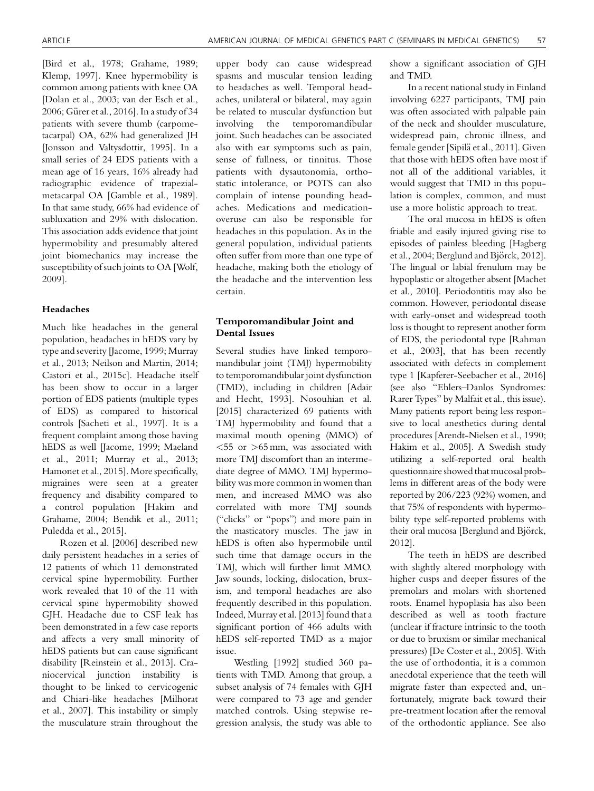[Bird et al., 1978; Grahame, 1989; Klemp, 1997]. Knee hypermobility is common among patients with knee OA [Dolan et al., 2003; van der Esch et al., 2006; Gürer et al., 2016]. In a study of 34 patients with severe thumb (carpometacarpal) OA, 62% had generalized JH [Jonsson and Valtysdottir, 1995]. In a small series of 24 EDS patients with a mean age of 16 years, 16% already had radiographic evidence of trapezialmetacarpal OA [Gamble et al., 1989]. In that same study, 66% had evidence of subluxation and 29% with dislocation. This association adds evidence that joint hypermobility and presumably altered joint biomechanics may increase the susceptibility of such joints to OA [Wolf, 2009].

# Headaches

Much like headaches in the general population, headaches in hEDS vary by type and severity [Jacome, 1999; Murray et al., 2013; Neilson and Martin, 2014; Castori et al., 2015c]. Headache itself has been show to occur in a larger portion of EDS patients (multiple types of EDS) as compared to historical controls [Sacheti et al., 1997]. It is a frequent complaint among those having hEDS as well [Jacome, 1999; Maeland et al., 2011; Murray et al., 2013; Hamonet et al., 2015]. More specifically, migraines were seen at a greater frequency and disability compared to a control population [Hakim and Grahame, 2004; Bendik et al., 2011; Puledda et al., 2015].

Rozen et al. [2006] described new daily persistent headaches in a series of 12 patients of which 11 demonstrated cervical spine hypermobility. Further work revealed that 10 of the 11 with cervical spine hypermobility showed GJH. Headache due to CSF leak has been demonstrated in a few case reports and affects a very small minority of hEDS patients but can cause significant disability [Reinstein et al., 2013]. Craniocervical junction instability is thought to be linked to cervicogenic and Chiari-like headaches [Milhorat et al., 2007]. This instability or simply the musculature strain throughout the

upper body can cause widespread spasms and muscular tension leading to headaches as well. Temporal headaches, unilateral or bilateral, may again be related to muscular dysfunction but involving the temporomandibular joint. Such headaches can be associated also with ear symptoms such as pain, sense of fullness, or tinnitus. Those patients with dysautonomia, orthostatic intolerance, or POTS can also complain of intense pounding headaches. Medications and medicationoveruse can also be responsible for headaches in this population. As in the general population, individual patients often suffer from more than one type of headache, making both the etiology of the headache and the intervention less certain.

# Temporomandibular Joint and Dental Issues

Several studies have linked temporomandibular joint (TMJ) hypermobility to temporomandibular joint dysfunction (TMD), including in children [Adair and Hecht, 1993]. Nosouhian et al. [2015] characterized 69 patients with TMJ hypermobility and found that a maximal mouth opening (MMO) of <55 or >65 mm, was associated with more TMJ discomfort than an intermediate degree of MMO. TMJ hypermobility was more common in women than men, and increased MMO was also correlated with more TMJ sounds ("clicks" or "pops") and more pain in the masticatory muscles. The jaw in hEDS is often also hypermobile until such time that damage occurs in the TMJ, which will further limit MMO. Jaw sounds, locking, dislocation, bruxism, and temporal headaches are also frequently described in this population. Indeed, Murray et al. [2013] found that a significant portion of 466 adults with hEDS self-reported TMD as a major issue.

Westling [1992] studied 360 patients with TMD. Among that group, a subset analysis of 74 females with GJH were compared to 73 age and gender matched controls. Using stepwise regression analysis, the study was able to show a significant association of GJH and TMD.

In a recent national study in Finland involving 6227 participants, TMJ pain was often associated with palpable pain of the neck and shoulder musculature, widespread pain, chronic illness, and female gender [Sipilä et al., 2011]. Given that those with hEDS often have most if not all of the additional variables, it would suggest that TMD in this population is complex, common, and must use a more holistic approach to treat.

The oral mucosa in hEDS is often friable and easily injured giving rise to episodes of painless bleeding [Hagberg et al., 2004; Berglund and Björck, 2012]. The lingual or labial frenulum may be hypoplastic or altogether absent [Machet et al., 2010]. Periodontitis may also be common. However, periodontal disease with early-onset and widespread tooth loss is thought to represent another form of EDS, the periodontal type [Rahman et al., 2003], that has been recently associated with defects in complement type 1 [Kapferer-Seebacher et al., 2016] (see also "Ehlers–Danlos Syndromes: Rarer Types" by Malfait et al., this issue). Many patients report being less responsive to local anesthetics during dental procedures [Arendt-Nielsen et al., 1990; Hakim et al., 2005]. A Swedish study utilizing a self-reported oral health questionnaire showed that mucosal problems in different areas of the body were reported by 206/223 (92%) women, and that 75% of respondents with hypermobility type self-reported problems with their oral mucosa [Berglund and Björck, 2012].

The teeth in hEDS are described with slightly altered morphology with higher cusps and deeper fissures of the premolars and molars with shortened roots. Enamel hypoplasia has also been described as well as tooth fracture (unclear if fracture intrinsic to the tooth or due to bruxism or similar mechanical pressures) [De Coster et al., 2005]. With the use of orthodontia, it is a common anecdotal experience that the teeth will migrate faster than expected and, unfortunately, migrate back toward their pre-treatment location after the removal of the orthodontic appliance. See also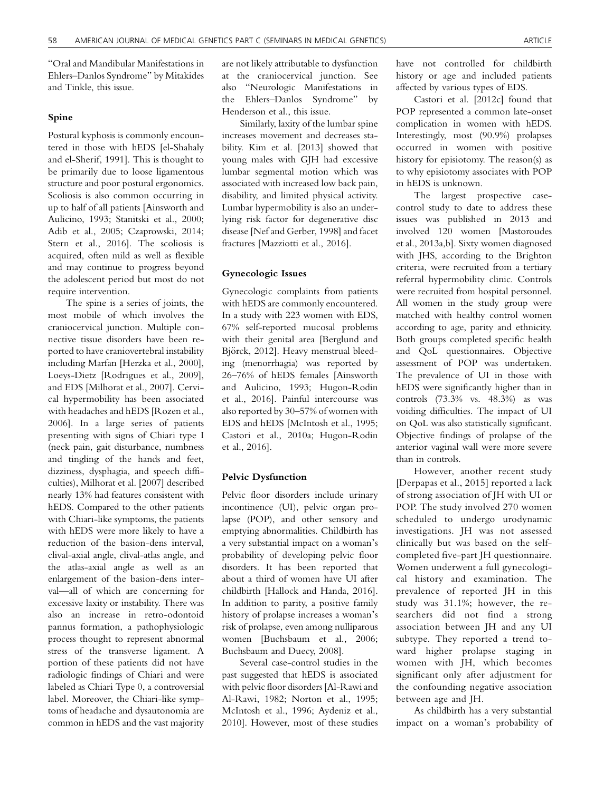"Oral and Mandibular Manifestations in Ehlers–Danlos Syndrome" by Mitakides and Tinkle, this issue.

#### Spine

Postural kyphosis is commonly encountered in those with hEDS [el-Shahaly and el-Sherif, 1991]. This is thought to be primarily due to loose ligamentous structure and poor postural ergonomics. Scoliosis is also common occurring in up to half of all patients [Ainsworth and Aulicino, 1993; Stanitski et al., 2000; Adib et al., 2005; Czaprowski, 2014; Stern et al., 2016]. The scoliosis is acquired, often mild as well as flexible and may continue to progress beyond the adolescent period but most do not require intervention.

The spine is a series of joints, the most mobile of which involves the craniocervical junction. Multiple connective tissue disorders have been reported to have craniovertebral instability including Marfan [Herzka et al., 2000], Loeys-Dietz [Rodrigues et al., 2009], and EDS [Milhorat et al., 2007]. Cervical hypermobility has been associated with headaches and hEDS [Rozen et al., 2006]. In a large series of patients presenting with signs of Chiari type I (neck pain, gait disturbance, numbness and tingling of the hands and feet, dizziness, dysphagia, and speech difficulties), Milhorat et al. [2007] described nearly 13% had features consistent with hEDS. Compared to the other patients with Chiari-like symptoms, the patients with hEDS were more likely to have a reduction of the basion-dens interval, clival-axial angle, clival-atlas angle, and the atlas-axial angle as well as an enlargement of the basion-dens interval—all of which are concerning for excessive laxity or instability. There was also an increase in retro-odontoid pannus formation, a pathophysiologic process thought to represent abnormal stress of the transverse ligament. A portion of these patients did not have radiologic findings of Chiari and were labeled as Chiari Type 0, a controversial label. Moreover, the Chiari-like symptoms of headache and dysautonomia are common in hEDS and the vast majority

are not likely attributable to dysfunction at the craniocervical junction. See also "Neurologic Manifestations in the Ehlers–Danlos Syndrome" by Henderson et al., this issue.

Similarly, laxity of the lumbar spine increases movement and decreases stability. Kim et al. [2013] showed that young males with GJH had excessive lumbar segmental motion which was associated with increased low back pain, disability, and limited physical activity. Lumbar hypermobility is also an underlying risk factor for degenerative disc disease [Nef and Gerber, 1998] and facet fractures [Mazziotti et al., 2016].

#### Gynecologic Issues

Gynecologic complaints from patients with hEDS are commonly encountered. In a study with 223 women with EDS, 67% self-reported mucosal problems with their genital area [Berglund and Björck, 2012]. Heavy menstrual bleeding (menorrhagia) was reported by 26–76% of hEDS females [Ainsworth and Aulicino, 1993; Hugon-Rodin et al., 2016]. Painful intercourse was also reported by 30–57% of women with EDS and hEDS [McIntosh et al., 1995; Castori et al., 2010a; Hugon-Rodin et al., 2016].

#### Pelvic Dysfunction

Pelvic floor disorders include urinary incontinence (UI), pelvic organ prolapse (POP), and other sensory and emptying abnormalities. Childbirth has a very substantial impact on a woman's probability of developing pelvic floor disorders. It has been reported that about a third of women have UI after childbirth [Hallock and Handa, 2016]. In addition to parity, a positive family history of prolapse increases a woman's risk of prolapse, even among nulliparous women [Buchsbaum et al., 2006; Buchsbaum and Duecy, 2008].

Several case-control studies in the past suggested that hEDS is associated with pelvic floor disorders [Al-Rawi and Al-Rawi, 1982; Norton et al., 1995; McIntosh et al., 1996; Aydeniz et al., 2010]. However, most of these studies

have not controlled for childbirth history or age and included patients affected by various types of EDS.

Castori et al. [2012c] found that POP represented a common late-onset complication in women with hEDS. Interestingly, most (90.9%) prolapses occurred in women with positive history for episiotomy. The reason(s) as to why episiotomy associates with POP in hEDS is unknown.

The largest prospective casecontrol study to date to address these issues was published in 2013 and involved 120 women [Mastoroudes et al., 2013a,b]. Sixty women diagnosed with JHS, according to the Brighton criteria, were recruited from a tertiary referral hypermobility clinic. Controls were recruited from hospital personnel. All women in the study group were matched with healthy control women according to age, parity and ethnicity. Both groups completed specific health and QoL questionnaires. Objective assessment of POP was undertaken. The prevalence of UI in those with hEDS were significantly higher than in controls (73.3% vs. 48.3%) as was voiding difficulties. The impact of UI on QoL was also statistically significant. Objective findings of prolapse of the anterior vaginal wall were more severe than in controls.

However, another recent study [Derpapas et al., 2015] reported a lack of strong association of JH with UI or POP. The study involved 270 women scheduled to undergo urodynamic investigations. JH was not assessed clinically but was based on the selfcompleted five-part JH questionnaire. Women underwent a full gynecological history and examination. The prevalence of reported JH in this study was 31.1%; however, the researchers did not find a strong association between JH and any UI subtype. They reported a trend toward higher prolapse staging in women with JH, which becomes significant only after adjustment for the confounding negative association between age and JH.

As childbirth has a very substantial impact on a woman's probability of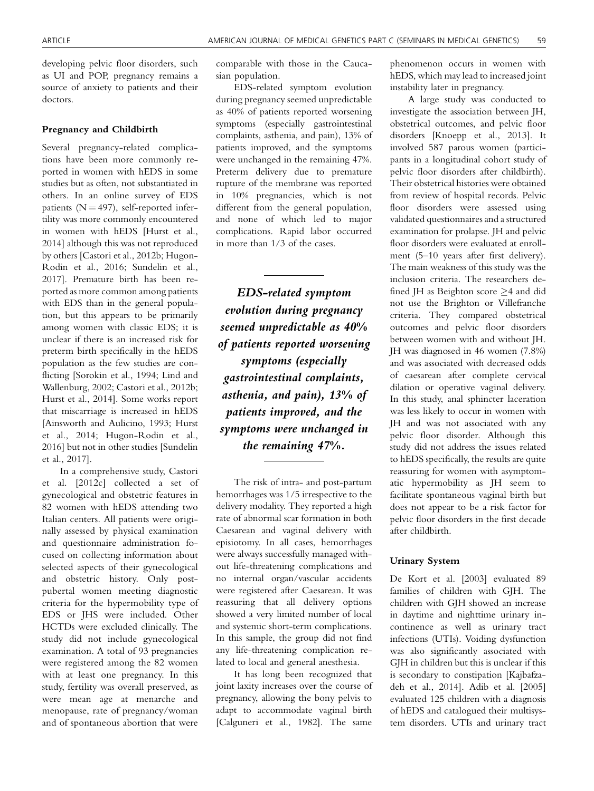developing pelvic floor disorders, such as UI and POP, pregnancy remains a source of anxiety to patients and their doctors.

# Pregnancy and Childbirth

Several pregnancy-related complications have been more commonly reported in women with hEDS in some studies but as often, not substantiated in others. In an online survey of EDS patients ( $N = 497$ ), self-reported infertility was more commonly encountered in women with hEDS [Hurst et al., 2014] although this was not reproduced by others [Castori et al., 2012b; Hugon-Rodin et al., 2016; Sundelin et al., 2017]. Premature birth has been reported as more common among patients with EDS than in the general population, but this appears to be primarily among women with classic EDS; it is unclear if there is an increased risk for preterm birth specifically in the hEDS population as the few studies are conflicting [Sorokin et al., 1994; Lind and Wallenburg, 2002; Castori et al., 2012b; Hurst et al., 2014]. Some works report that miscarriage is increased in hEDS [Ainsworth and Aulicino, 1993; Hurst et al., 2014; Hugon-Rodin et al., 2016] but not in other studies [Sundelin et al., 2017].

In a comprehensive study, Castori et al. [2012c] collected a set of gynecological and obstetric features in 82 women with hEDS attending two Italian centers. All patients were originally assessed by physical examination and questionnaire administration focused on collecting information about selected aspects of their gynecological and obstetric history. Only postpubertal women meeting diagnostic criteria for the hypermobility type of EDS or JHS were included. Other HCTDs were excluded clinically. The study did not include gynecological examination. A total of 93 pregnancies were registered among the 82 women with at least one pregnancy. In this study, fertility was overall preserved, as were mean age at menarche and menopause, rate of pregnancy/woman and of spontaneous abortion that were

comparable with those in the Caucasian population.

EDS-related symptom evolution during pregnancy seemed unpredictable as 40% of patients reported worsening symptoms (especially gastrointestinal complaints, asthenia, and pain), 13% of patients improved, and the symptoms were unchanged in the remaining 47%. Preterm delivery due to premature rupture of the membrane was reported in 10% pregnancies, which is not different from the general population, and none of which led to major complications. Rapid labor occurred in more than 1/3 of the cases.

EDS-related symptom evolution during pregnancy seemed unpredictable as 40% of patients reported worsening symptoms (especially gastrointestinal complaints, asthenia, and pain), 13% of patients improved, and the symptoms were unchanged in the remaining 47%.

The risk of intra- and post-partum hemorrhages was 1/5 irrespective to the delivery modality. They reported a high rate of abnormal scar formation in both Caesarean and vaginal delivery with episiotomy. In all cases, hemorrhages were always successfully managed without life-threatening complications and no internal organ/vascular accidents were registered after Caesarean. It was reassuring that all delivery options showed a very limited number of local and systemic short-term complications. In this sample, the group did not find any life-threatening complication related to local and general anesthesia.

It has long been recognized that joint laxity increases over the course of pregnancy, allowing the bony pelvis to adapt to accommodate vaginal birth [Calguneri et al., 1982]. The same

phenomenon occurs in women with hEDS, which may lead to increased joint instability later in pregnancy.

A large study was conducted to investigate the association between JH, obstetrical outcomes, and pelvic floor disorders [Knoepp et al., 2013]. It involved 587 parous women (participants in a longitudinal cohort study of pelvic floor disorders after childbirth). Their obstetrical histories were obtained from review of hospital records. Pelvic floor disorders were assessed using validated questionnaires and a structured examination for prolapse. JH and pelvic floor disorders were evaluated at enrollment (5–10 years after first delivery). The main weakness of this study was the inclusion criteria. The researchers defined JH as Beighton score  $\geq$ 4 and did not use the Brighton or Villefranche criteria. They compared obstetrical outcomes and pelvic floor disorders between women with and without JH. JH was diagnosed in 46 women (7.8%) and was associated with decreased odds of caesarean after complete cervical dilation or operative vaginal delivery. In this study, anal sphincter laceration was less likely to occur in women with JH and was not associated with any pelvic floor disorder. Although this study did not address the issues related to hEDS specifically, the results are quite reassuring for women with asymptomatic hypermobility as JH seem to facilitate spontaneous vaginal birth but does not appear to be a risk factor for pelvic floor disorders in the first decade after childbirth.

# Urinary System

De Kort et al. [2003] evaluated 89 families of children with GJH. The children with GJH showed an increase in daytime and nighttime urinary incontinence as well as urinary tract infections (UTIs). Voiding dysfunction was also significantly associated with GJH in children but this is unclear if this is secondary to constipation [Kajbafzadeh et al., 2014]. Adib et al. [2005] evaluated 125 children with a diagnosis of hEDS and catalogued their multisystem disorders. UTIs and urinary tract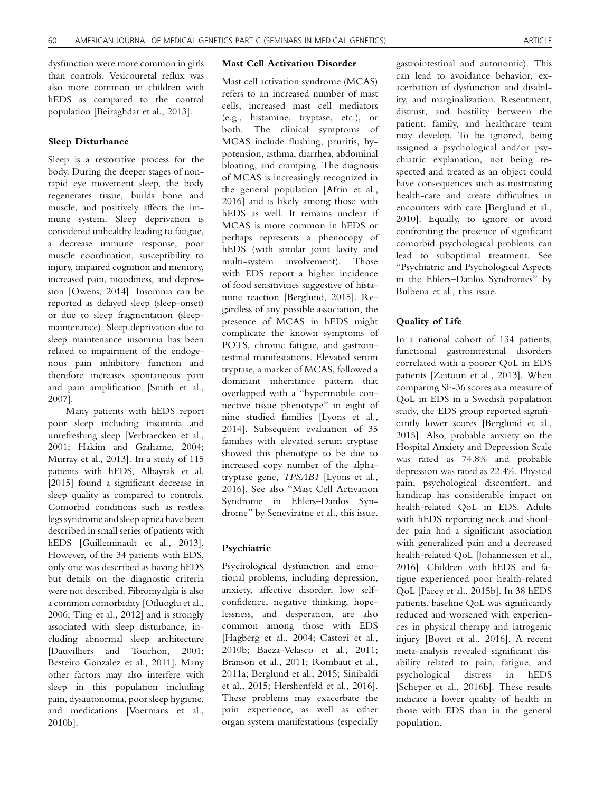dysfunction were more common in girls than controls. Vesicouretal reflux was also more common in children with hEDS as compared to the control population [Beiraghdar et al., 2013].

# Sleep Disturbance

Sleep is a restorative process for the body. During the deeper stages of nonrapid eye movement sleep, the body regenerates tissue, builds bone and muscle, and positively affects the immune system. Sleep deprivation is considered unhealthy leading to fatigue, a decrease immune response, poor muscle coordination, susceptibility to injury, impaired cognition and memory, increased pain, moodiness, and depression [Owens, 2014]. Insomnia can be reported as delayed sleep (sleep-onset) or due to sleep fragmentation (sleepmaintenance). Sleep deprivation due to sleep maintenance insomnia has been related to impairment of the endogenous pain inhibitory function and therefore increases spontaneous pain and pain amplification [Smith et al., 2007].

Many patients with hEDS report poor sleep including insomnia and unrefreshing sleep [Verbraecken et al., 2001; Hakim and Grahame, 2004; Murray et al., 2013]. In a study of 115 patients with hEDS, Albayrak et al. [2015] found a significant decrease in sleep quality as compared to controls. Comorbid conditions such as restless legs syndrome and sleep apnea have been described in small series of patients with hEDS [Guilleminault et al., 2013]. However, of the 34 patients with EDS, only one was described as having hEDS but details on the diagnostic criteria were not described. Fibromyalgia is also a common comorbidity [Ofluoglu et al., 2006; Ting et al., 2012] and is strongly associated with sleep disturbance, including abnormal sleep architecture [Dauvilliers and Touchon, 2001; Besteiro Gonzalez et al., 2011]. Many other factors may also interfere with sleep in this population including pain, dysautonomia, poor sleep hygiene, and medications [Voermans et al., 2010b].

#### Mast Cell Activation Disorder

Mast cell activation syndrome (MCAS) refers to an increased number of mast cells, increased mast cell mediators (e.g., histamine, tryptase, etc.), or both. The clinical symptoms of MCAS include flushing, pruritis, hypotension, asthma, diarrhea, abdominal bloating, and cramping. The diagnosis of MCAS is increasingly recognized in the general population [Afrin et al., 2016] and is likely among those with hEDS as well. It remains unclear if MCAS is more common in hEDS or perhaps represents a phenocopy of hEDS (with similar joint laxity and multi-system involvement). Those with EDS report a higher incidence of food sensitivities suggestive of histamine reaction [Berglund, 2015]. Regardless of any possible association, the presence of MCAS in hEDS might complicate the known symptoms of POTS, chronic fatigue, and gastrointestinal manifestations. Elevated serum tryptase, a marker of MCAS, followed a dominant inheritance pattern that overlapped with a "hypermobile connective tissue phenotype" in eight of nine studied families [Lyons et al., 2014]. Subsequent evaluation of 35 families with elevated serum tryptase showed this phenotype to be due to increased copy number of the alphatryptase gene, TPSAB1 [Lyons et al., 2016]. See also "Mast Cell Activation Syndrome in Ehlers–Danlos Syndrome" by Seneviratne et al., this issue.

# Psychiatric

Psychological dysfunction and emotional problems, including depression, anxiety, affective disorder, low selfconfidence, negative thinking, hopelessness, and desperation, are also common among those with EDS [Hagberg et al., 2004; Castori et al., 2010b; Baeza-Velasco et al., 2011; Branson et al., 2011; Rombaut et al., 2011a; Berglund et al., 2015; Sinibaldi et al., 2015; Hershenfeld et al., 2016]. These problems may exacerbate the pain experience, as well as other organ system manifestations (especially gastrointestinal and autonomic). This can lead to avoidance behavior, exacerbation of dysfunction and disability, and marginalization. Resentment, distrust, and hostility between the patient, family, and healthcare team may develop. To be ignored, being assigned a psychological and/or psychiatric explanation, not being respected and treated as an object could have consequences such as mistrusting health-care and create difficulties in encounters with care [Berglund et al., 2010]. Equally, to ignore or avoid confronting the presence of significant comorbid psychological problems can lead to suboptimal treatment. See "Psychiatric and Psychological Aspects in the Ehlers–Danlos Syndromes" by Bulbena et al., this issue.

#### Quality of Life

In a national cohort of 134 patients, functional gastrointestinal disorders correlated with a poorer QoL in EDS patients [Zeitoun et al., 2013]. When comparing SF-36 scores as a measure of QoL in EDS in a Swedish population study, the EDS group reported significantly lower scores [Berglund et al., 2015]. Also, probable anxiety on the Hospital Anxiety and Depression Scale was rated as 74.8% and probable depression was rated as 22.4%. Physical pain, psychological discomfort, and handicap has considerable impact on health-related QoL in EDS. Adults with hEDS reporting neck and shoulder pain had a significant association with generalized pain and a decreased health-related QoL [Johannessen et al., 2016]. Children with hEDS and fatigue experienced poor health-related QoL [Pacey et al., 2015b]. In 38 hEDS patients, baseline QoL was significantly reduced and worsened with experiences in physical therapy and iatrogenic injury [Bovet et al., 2016]. A recent meta-analysis revealed significant disability related to pain, fatigue, and psychological distress in hEDS [Scheper et al., 2016b]. These results indicate a lower quality of health in those with EDS than in the general population.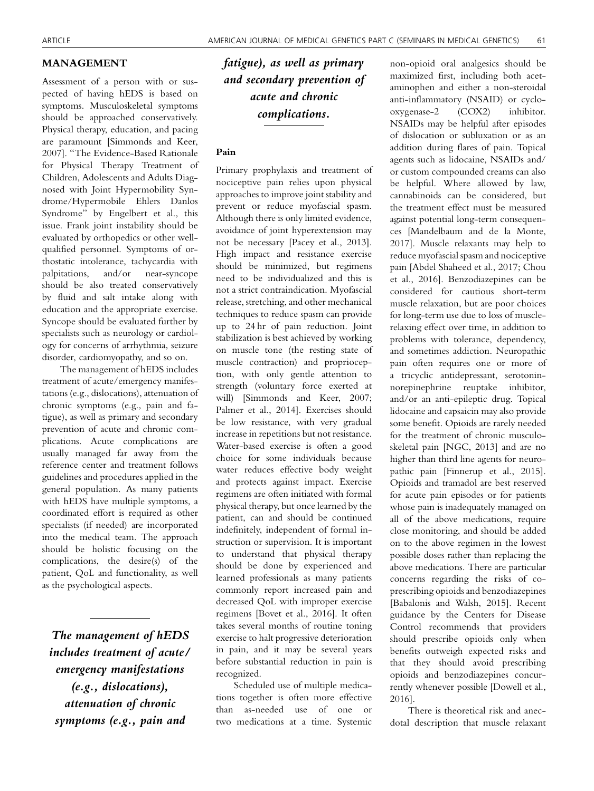# MANAGEMENT

Assessment of a person with or suspected of having hEDS is based on symptoms. Musculoskeletal symptoms should be approached conservatively. Physical therapy, education, and pacing are paramount [Simmonds and Keer, 2007]. "The Evidence-Based Rationale for Physical Therapy Treatment of Children, Adolescents and Adults Diagnosed with Joint Hypermobility Syndrome/Hypermobile Ehlers Danlos Syndrome" by Engelbert et al., this issue. Frank joint instability should be evaluated by orthopedics or other wellqualified personnel. Symptoms of orthostatic intolerance, tachycardia with palpitations, and/or near-syncope should be also treated conservatively by fluid and salt intake along with education and the appropriate exercise. Syncope should be evaluated further by specialists such as neurology or cardiology for concerns of arrhythmia, seizure disorder, cardiomyopathy, and so on.

The management of hEDS includes treatment of acute/emergency manifestations (e.g., dislocations), attenuation of chronic symptoms (e.g., pain and fatigue), as well as primary and secondary prevention of acute and chronic complications. Acute complications are usually managed far away from the reference center and treatment follows guidelines and procedures applied in the general population. As many patients with hEDS have multiple symptoms, a coordinated effort is required as other specialists (if needed) are incorporated into the medical team. The approach should be holistic focusing on the complications, the desire(s) of the patient, QoL and functionality, as well as the psychological aspects.

The management of hEDS includes treatment of acute/ emergency manifestations (e.g., dislocations), attenuation of chronic symptoms (e.g., pain and

# fatigue), as well as primary and secondary prevention of acute and chronic complications.

# Pain

Primary prophylaxis and treatment of nociceptive pain relies upon physical approaches to improve joint stability and prevent or reduce myofascial spasm. Although there is only limited evidence, avoidance of joint hyperextension may not be necessary [Pacey et al., 2013]. High impact and resistance exercise should be minimized, but regimens need to be individualized and this is not a strict contraindication. Myofascial release, stretching, and other mechanical techniques to reduce spasm can provide up to 24 hr of pain reduction. Joint stabilization is best achieved by working on muscle tone (the resting state of muscle contraction) and proprioception, with only gentle attention to strength (voluntary force exerted at will) [Simmonds and Keer, 2007; Palmer et al., 2014]. Exercises should be low resistance, with very gradual increase in repetitions but not resistance. Water-based exercise is often a good choice for some individuals because water reduces effective body weight and protects against impact. Exercise regimens are often initiated with formal physical therapy, but once learned by the patient, can and should be continued indefinitely, independent of formal instruction or supervision. It is important to understand that physical therapy should be done by experienced and learned professionals as many patients commonly report increased pain and decreased QoL with improper exercise regimens [Bovet et al., 2016]. It often takes several months of routine toning exercise to halt progressive deterioration in pain, and it may be several years before substantial reduction in pain is recognized.

Scheduled use of multiple medications together is often more effective than as-needed use of one or two medications at a time. Systemic

non-opioid oral analgesics should be maximized first, including both acetaminophen and either a non-steroidal anti-inflammatory (NSAID) or cyclooxygenase-2 (COX2) inhibitor. NSAIDs may be helpful after episodes of dislocation or subluxation or as an addition during flares of pain. Topical agents such as lidocaine, NSAIDs and/ or custom compounded creams can also be helpful. Where allowed by law, cannabinoids can be considered, but the treatment effect must be measured against potential long-term consequences [Mandelbaum and de la Monte, 2017]. Muscle relaxants may help to reduce myofascial spasm and nociceptive pain [Abdel Shaheed et al., 2017; Chou et al., 2016]. Benzodiazepines can be considered for cautious short-term muscle relaxation, but are poor choices for long-term use due to loss of musclerelaxing effect over time, in addition to problems with tolerance, dependency, and sometimes addiction. Neuropathic pain often requires one or more of a tricyclic antidepressant, serotoninnorepinephrine reuptake inhibitor, and/or an anti-epileptic drug. Topical lidocaine and capsaicin may also provide some benefit. Opioids are rarely needed for the treatment of chronic musculoskeletal pain [NGC, 2013] and are no higher than third line agents for neuropathic pain [Finnerup et al., 2015]. Opioids and tramadol are best reserved for acute pain episodes or for patients whose pain is inadequately managed on all of the above medications, require close monitoring, and should be added on to the above regimen in the lowest possible doses rather than replacing the above medications. There are particular concerns regarding the risks of coprescribing opioids and benzodiazepines [Babalonis and Walsh, 2015]. Recent guidance by the Centers for Disease Control recommends that providers should prescribe opioids only when benefits outweigh expected risks and that they should avoid prescribing opioids and benzodiazepines concurrently whenever possible [Dowell et al., 2016].

There is theoretical risk and anecdotal description that muscle relaxant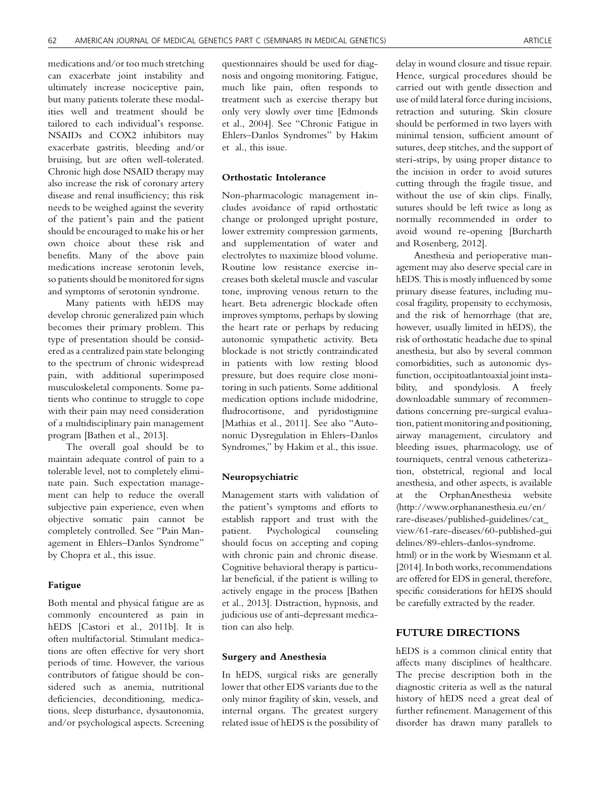medications and/or too much stretching can exacerbate joint instability and ultimately increase nociceptive pain, but many patients tolerate these modalities well and treatment should be tailored to each individual's response. NSAIDs and COX2 inhibitors may exacerbate gastritis, bleeding and/or bruising, but are often well-tolerated. Chronic high dose NSAID therapy may also increase the risk of coronary artery disease and renal insufficiency; this risk needs to be weighed against the severity of the patient's pain and the patient should be encouraged to make his or her own choice about these risk and benefits. Many of the above pain medications increase serotonin levels, so patients should be monitored for signs and symptoms of serotonin syndrome.

Many patients with hEDS may develop chronic generalized pain which becomes their primary problem. This type of presentation should be considered as a centralized pain state belonging to the spectrum of chronic widespread pain, with additional superimposed musculoskeletal components. Some patients who continue to struggle to cope with their pain may need consideration of a multidisciplinary pain management program [Bathen et al., 2013].

The overall goal should be to maintain adequate control of pain to a tolerable level, not to completely eliminate pain. Such expectation management can help to reduce the overall subjective pain experience, even when objective somatic pain cannot be completely controlled. See "Pain Management in Ehlers–Danlos Syndrome" by Chopra et al., this issue.

#### Fatigue

Both mental and physical fatigue are as commonly encountered as pain in hEDS [Castori et al., 2011b]. It is often multifactorial. Stimulant medications are often effective for very short periods of time. However, the various contributors of fatigue should be considered such as anemia, nutritional deficiencies, deconditioning, medications, sleep disturbance, dysautonomia, and/or psychological aspects. Screening questionnaires should be used for diagnosis and ongoing monitoring. Fatigue, much like pain, often responds to treatment such as exercise therapy but only very slowly over time [Edmonds et al., 2004]. See "Chronic Fatigue in Ehlers–Danlos Syndromes" by Hakim et al., this issue.

#### Orthostatic Intolerance

Non-pharmacologic management includes avoidance of rapid orthostatic change or prolonged upright posture, lower extremity compression garments, and supplementation of water and electrolytes to maximize blood volume. Routine low resistance exercise increases both skeletal muscle and vascular tone, improving venous return to the heart. Beta adrenergic blockade often improves symptoms, perhaps by slowing the heart rate or perhaps by reducing autonomic sympathetic activity. Beta blockade is not strictly contraindicated in patients with low resting blood pressure, but does require close monitoring in such patients. Some additional medication options include midodrine, fludrocortisone, and pyridostigmine [Mathias et al., 2011]. See also "Autonomic Dysregulation in Ehlers–Danlos Syndromes," by Hakim et al., this issue.

#### Neuropsychiatric

Management starts with validation of the patient's symptoms and efforts to establish rapport and trust with the patient. Psychological counseling should focus on accepting and coping with chronic pain and chronic disease. Cognitive behavioral therapy is particular beneficial, if the patient is willing to actively engage in the process [Bathen et al., 2013]. Distraction, hypnosis, and judicious use of anti-depressant medication can also help.

#### Surgery and Anesthesia

In hEDS, surgical risks are generally lower that other EDS variants due to the only minor fragility of skin, vessels, and internal organs. The greatest surgery related issue of hEDS is the possibility of delay in wound closure and tissue repair. Hence, surgical procedures should be carried out with gentle dissection and use of mild lateral force during incisions, retraction and suturing. Skin closure should be performed in two layers with minimal tension, sufficient amount of sutures, deep stitches, and the support of steri-strips, by using proper distance to the incision in order to avoid sutures cutting through the fragile tissue, and without the use of skin clips. Finally, sutures should be left twice as long as normally recommended in order to avoid wound re-opening [Burcharth and Rosenberg, 2012].

Anesthesia and perioperative management may also deserve special care in hEDS. This is mostly influenced by some primary disease features, including mucosal fragility, propensity to ecchymosis, and the risk of hemorrhage (that are, however, usually limited in hEDS), the risk of orthostatic headache due to spinal anesthesia, but also by several common comorbidities, such as autonomic dysfunction, occipitoatlantoaxial joint instability, and spondylosis. A freely downloadable summary of recommendations concerning pre-surgical evaluation, patient monitoring and positioning, airway management, circulatory and bleeding issues, pharmacology, use of tourniquets, central venous catheterization, obstetrical, regional and local anesthesia, and other aspects, is available at the OrphanAnesthesia website [\(http://www.orphananesthesia.eu/en/](http://www.orphananesthesia.eu/en/rare-diseases/published-guidelines/cat_view/61-rare-diseases/60-published-guidelines/89-ehlers-danlos-syndrome.html) [rare-diseases/published-guidelines/cat\\_](http://www.orphananesthesia.eu/en/rare-diseases/published-guidelines/cat_view/61-rare-diseases/60-published-guidelines/89-ehlers-danlos-syndrome.html) [view/61-rare-diseases/60-published-gui](http://www.orphananesthesia.eu/en/rare-diseases/published-guidelines/cat_view/61-rare-diseases/60-published-guidelines/89-ehlers-danlos-syndrome.html) [delines/89-ehlers-danlos-syndrome.](http://www.orphananesthesia.eu/en/rare-diseases/published-guidelines/cat_view/61-rare-diseases/60-published-guidelines/89-ehlers-danlos-syndrome.html) [html](http://www.orphananesthesia.eu/en/rare-diseases/published-guidelines/cat_view/61-rare-diseases/60-published-guidelines/89-ehlers-danlos-syndrome.html)) or in the work by Wiesmann et al. [2014]. In both works, recommendations are offered for EDS in general, therefore, specific considerations for hEDS should be carefully extracted by the reader.

# FUTURE DIRECTIONS

hEDS is a common clinical entity that affects many disciplines of healthcare. The precise description both in the diagnostic criteria as well as the natural history of hEDS need a great deal of further refinement. Management of this disorder has drawn many parallels to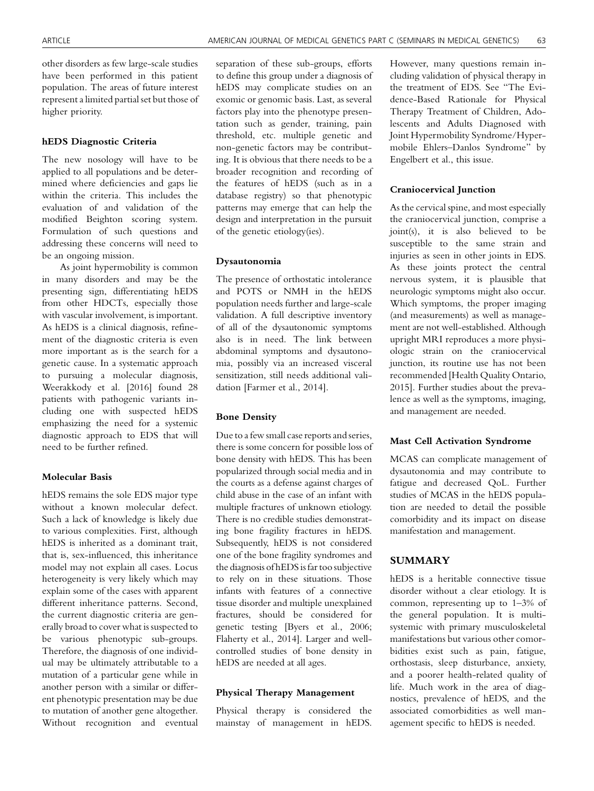other disorders as few large-scale studies have been performed in this patient population. The areas of future interest represent a limited partial set but those of higher priority.

# hEDS Diagnostic Criteria

The new nosology will have to be applied to all populations and be determined where deficiencies and gaps lie within the criteria. This includes the evaluation of and validation of the modified Beighton scoring system. Formulation of such questions and addressing these concerns will need to be an ongoing mission.

As joint hypermobility is common in many disorders and may be the presenting sign, differentiating hEDS from other HDCTs, especially those with vascular involvement, is important. As hEDS is a clinical diagnosis, refinement of the diagnostic criteria is even more important as is the search for a genetic cause. In a systematic approach to pursuing a molecular diagnosis, Weerakkody et al. [2016] found 28 patients with pathogenic variants including one with suspected hEDS emphasizing the need for a systemic diagnostic approach to EDS that will need to be further refined.

#### Molecular Basis

hEDS remains the sole EDS major type without a known molecular defect. Such a lack of knowledge is likely due to various complexities. First, although hEDS is inherited as a dominant trait, that is, sex-influenced, this inheritance model may not explain all cases. Locus heterogeneity is very likely which may explain some of the cases with apparent different inheritance patterns. Second, the current diagnostic criteria are generally broad to cover what is suspected to be various phenotypic sub-groups. Therefore, the diagnosis of one individual may be ultimately attributable to a mutation of a particular gene while in another person with a similar or different phenotypic presentation may be due to mutation of another gene altogether. Without recognition and eventual

separation of these sub-groups, efforts to define this group under a diagnosis of hEDS may complicate studies on an exomic or genomic basis. Last, as several factors play into the phenotype presentation such as gender, training, pain threshold, etc. multiple genetic and non-genetic factors may be contributing. It is obvious that there needs to be a broader recognition and recording of the features of hEDS (such as in a database registry) so that phenotypic patterns may emerge that can help the design and interpretation in the pursuit of the genetic etiology(ies).

#### Dysautonomia

The presence of orthostatic intolerance and POTS or NMH in the hEDS population needs further and large-scale validation. A full descriptive inventory of all of the dysautonomic symptoms also is in need. The link between abdominal symptoms and dysautonomia, possibly via an increased visceral sensitization, still needs additional validation [Farmer et al., 2014].

# Bone Density

Due to a few small case reports and series, there is some concern for possible loss of bone density with hEDS. This has been popularized through social media and in the courts as a defense against charges of child abuse in the case of an infant with multiple fractures of unknown etiology. There is no credible studies demonstrating bone fragility fractures in hEDS. Subsequently, hEDS is not considered one of the bone fragility syndromes and the diagnosis of hEDS is far too subjective to rely on in these situations. Those infants with features of a connective tissue disorder and multiple unexplained fractures, should be considered for genetic testing [Byers et al., 2006; Flaherty et al., 2014]. Larger and wellcontrolled studies of bone density in hEDS are needed at all ages.

#### Physical Therapy Management

Physical therapy is considered the mainstay of management in hEDS.

However, many questions remain including validation of physical therapy in the treatment of EDS. See "The Evidence-Based Rationale for Physical Therapy Treatment of Children, Adolescents and Adults Diagnosed with Joint Hypermobility Syndrome/Hypermobile Ehlers–Danlos Syndrome" by Engelbert et al., this issue.

#### Craniocervical Junction

As the cervical spine, and most especially the craniocervical junction, comprise a joint(s), it is also believed to be susceptible to the same strain and injuries as seen in other joints in EDS. As these joints protect the central nervous system, it is plausible that neurologic symptoms might also occur. Which symptoms, the proper imaging (and measurements) as well as management are not well-established. Although upright MRI reproduces a more physiologic strain on the craniocervical junction, its routine use has not been recommended [Health Quality Ontario, 2015]. Further studies about the prevalence as well as the symptoms, imaging, and management are needed.

#### Mast Cell Activation Syndrome

MCAS can complicate management of dysautonomia and may contribute to fatigue and decreased QoL. Further studies of MCAS in the hEDS population are needed to detail the possible comorbidity and its impact on disease manifestation and management.

# **SUMMARY**

hEDS is a heritable connective tissue disorder without a clear etiology. It is common, representing up to 1–3% of the general population. It is multisystemic with primary musculoskeletal manifestations but various other comorbidities exist such as pain, fatigue, orthostasis, sleep disturbance, anxiety, and a poorer health-related quality of life. Much work in the area of diagnostics, prevalence of hEDS, and the associated comorbidities as well management specific to hEDS is needed.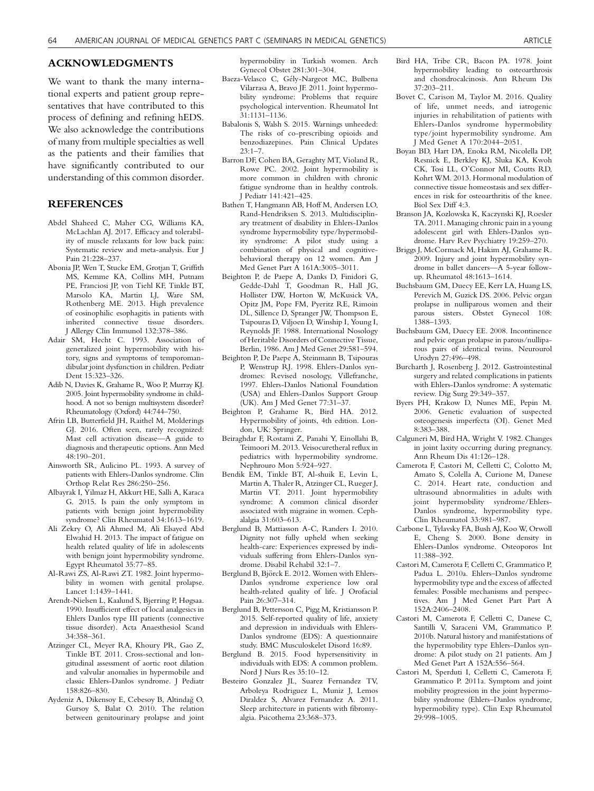#### ACKNOWLEDGMENTS

We want to thank the many international experts and patient group representatives that have contributed to this process of defining and refining hEDS. We also acknowledge the contributions of many from multiple specialties as well as the patients and their families that have significantly contributed to our understanding of this common disorder.

# **REFERENCES**

- Abdel Shaheed C, Maher CG, Williams KA, McLachlan AJ. 2017. Efficacy and tolerability of muscle relaxants for low back pain: Systematic review and meta-analysis. Eur J Pain 21:228–237.
- Abonia JP, Wen T, Stucke EM, Grotjan T, Griffith MS, Kemme KA, Collins MH, Putnam PE, Franciosi JP, von Tiehl KF, Tinkle BT, Marsolo KA, Martin LJ, Ware SM, Rothenberg ME. 2013. High prevalence of eosinophilic esophagitis in patients with inherited connective tissue disorders. J Allergy Clin Immunol 132:378–386.
- Adair SM, Hecht C. 1993. Association of generalized joint hypermobility with history, signs and symptoms of temporomandibular joint dysfunction in children. Pediatr Dent 15:323–326.
- Adib N, Davies K, Grahame R, Woo P, Murray KJ. 2005. Joint hypermobility syndrome in childhood. A not so benign multisystem disorder? Rheumatology (Oxford) 44:744–750.
- Afrin LB, Butterfield JH, Raithel M, Molderings GJ. 2016. Often seen, rarely recognized: Mast cell activation disease—A guide to diagnosis and therapeutic options. Ann Med 48:190–201.
- Ainsworth SR, Aulicino PL. 1993. A survey of patients with Ehlers-Danlos syndrome. Clin Orthop Relat Res 286:250–256.
- Albayrak I, Yilmaz H, Akkurt HE, Salli A, Karaca G. 2015. Is pain the only symptom in patients with benign joint hypermobility syndrome? Clin Rheumatol 34:1613–1619.
- Ali Zekry O, Ali Ahmed M, Ali Elsayed Abd Elwahid H. 2013. The impact of fatigue on health related quality of life in adolescents with benign joint hypermobility syndrome. Egypt Rheumatol 35:77–85.
- Al-Rawi ZS, Al-Rawi ZT. 1982. Joint hypermobility in women with genital prolapse. Lancet 1:1439–1441.
- Arendt-Nielsen L, Kaalund S, Bjerring P, Høgsaa. 1990. Insufficient effect of local analgesics in Ehlers Danlos type III patients (connective tissue disorder). Acta Anaesthesiol Scand 34:358–361.
- Atzinger CL, Meyer RA, Khoury PR, Gao Z, Tinkle BT. 2011. Cross-sectional and longitudinal assessment of aortic root dilation and valvular anomalies in hypermobile and classic Ehlers-Danlos syndrome. J Pediatr 158:826–830.
- Aydeniz A, Dikensoy E, Cebesoy B, Altindag O, Gursoy S, Balat O. 2010. The relation between genitourinary prolapse and joint

hypermobility in Turkish women. Arch Gynecol Obstet 281:301–304.

- Baeza-Velasco C, Gély-Nargeot MC, Bulbena Vilarrasa A, Bravo JF. 2011. Joint hypermobility syndrome: Problems that require psychological intervention. Rheumatol Int 31:1131–1136.
- Babalonis S, Walsh S. 2015. Warnings unheeded: The risks of co-prescribing opioids and benzodiazepines. Pain Clinical Updates  $23:1 - 7$ .
- Barron DF, Cohen BA, Geraghty MT, Violand R, Rowe PC. 2002. Joint hypermobility is more common in children with chronic fatigue syndrome than in healthy controls. J Pediatr 141:421–425.
- Bathen T, Hangmann AB, Hoff M, Andersen LO, Rand-Hendriksen S. 2013. Multidisciplinary treatment of disability in Ehlers-Danlos syndrome hypermobility type/hypermobility syndrome: A pilot study using a combination of physical and cognitivebehavioral therapy on 12 women. Am J Med Genet Part A 161A:3005–3011.
- Beighton P, de Paepe A, Danks D, Finidori G, Gedde-Dahl T, Goodman R, Hall JG, Hollister DW, Horton W, McKusick VA, Opitz JM, Pope FM, Pyeritz RE, Rimoin DL, Sillence D, Spranger JW, Thompson E, Tsipouras D, Viljoen D, Winship I, Young I, Reynolds JF. 1988. International Nosology of Heritable Disorders of Connective Tissue, Berlin, 1986. Am J Med Genet 29:581–594.
- Beighton P, De Paepe A, Steinmann B, Tsipouras P, Wenstrup RJ. 1998. Ehlers-Danlos syndromes: Revised nosology, Villefranche, 1997. Ehlers-Danlos National Foundation (USA) and Ehlers-Danlos Support Group (UK). Am J Med Genet 77:31–37.
- Beighton P, Grahame R, Bird HA. 2012. Hypermobility of joints, 4th edition. London, UK: Springer.
- Beiraghdar F, Rostami Z, Panahi Y, Einollahi B, Teimoori M. 2013. Veisocuretheral reflux in pediatrics with hypermobility syndrome. Nephrouro Mon 5:924–927.
- Bendik EM, Tinkle BT, Al-shuik E, Levin L, Martin A, Thaler R, Atzinger CL, Rueger J, Martin VT. 2011. Joint hypermobility syndrome: A common clinical disorder associated with migraine in women. Cephalalgia 31:603–613.
- Berglund B, Mattiasson A-C, Randers I. 2010. Dignity not fully upheld when seeking health-care: Experiences expressed by individuals suffering from Ehlers-Danlos syndrome. Disabil Rehabil 32:1–7.
- Berglund B, Björck E. 2012. Women with Ehlers-Danlos syndrome experience low oral health-related quality of life. J Orofacial Pain 26:307–314.
- Berglund B, Pettersson C, Pigg M, Kristiansson P. 2015. Self-reported quality of life, anxiety and depression in individuals with Ehlers-Danlos syndrome (EDS): A questionnaire study. BMC Musculoskelet Disord 16:89.
- Berglund B. 2015. Food hypersensitivity in individuals with EDS: A common problem. Nord J Nurs Res 35:10–12.
- Besteiro Gonzalez JL, Suarez Fernandez TV, Arboleya Rodriguez L, Muniz J, Lemos Diraldez S, Alvarez Fernandez A. 2011. Sleep architecture in patients with fibromyalgia. Psicothema 23:368–373.
- Bird HA, Tribe CR, Bacon PA. 1978. Joint hypermobility leading to osteoarthrosis and chondrocalcinosis. Ann Rheum Dis  $37:203 - 211$
- Bovet C, Carison M, Taylor M. 2016. Quality of life, unmet needs, and iatrogenic injuries in rehabilitation of patients with Ehlers-Danlos syndrome hypermobility type/joint hypermobility syndrome. Am J Med Genet A 170:2044–2051.
- Boyan BD, Hart DA, Enoka RM, Nicolella DP, Resnick E, Berkley KJ, Sluka KA, Kwoh CK, Tosi LL, O'Connor MI, Coutts RD, Kohrt WM. 2013. Hormonal modulation of connective tissue homeostasis and sex differences in risk for osteoarthritis of the knee. Biol Sex Diff 4:3.
- Branson JA, Kozlowska K, Kaczynski KJ, Roesler TA. 2011. Managing chronic pain in a young adolescent girl with Ehlers-Danlos syndrome. Harv Rev Psychiatry 19:259–270.
- Briggs J, McCormack M, Hakim AJ, Grahame R. 2009. Injury and joint hypermobility syndrome in ballet dancers—A 5-year followup. Rheumatol 48:1613–1614.
- Buchsbaum GM, Duecy EE, Kerr LA, Huang LS, Perevich M, Guzick DS. 2006. Pelvic organ prolapse in nulliparous women and their parous sisters. Obstet Gynecol 108: 1388–1393.
- Buchsbaum GM, Duecy EE. 2008. Incontinence and pelvic organ prolapse in parous/nulliparous pairs of identical twins. Neurourol Urodyn 27:496–498.
- Burcharth J, Rosenberg J. 2012. Gastrointestinal surgery and related complications in patients with Ehlers-Danlos syndrome: A systematic review. Dig Surg 29:349–357.
- Byers PH, Krakow D, Nunes ME, Pepin M. 2006. Genetic evaluation of suspected osteogenesis imperfecta (OI). Genet Med 8:383–388.
- Calguneri M, Bird HA, Wright V. 1982. Changes in joint laxity occurring during pregnancy. Ann Rheum Dis 41:126–128.
- Camerota F, Castori M, Celletti C, Colotto M, Amato S, Colella A, Curione M, Danese C. 2014. Heart rate, conduction and ultrasound abnormalities in adults with joint hypermobility syndrome/Ehlers-Danlos syndrome, hypermobility type. Clin Rheumatol 33:981–987.
- Carbone L, Tylavsky FA, Bush AJ, Koo W, Orwoll E, Cheng S. 2000. Bone density in Ehlers-Danlos syndrome. Osteoporos Int 11:388–392.
- Castori M, Camerota F, Celletti C, Grammatico P, Padua L. 2010a. Ehlers–Danlos syndrome hypermobility type and the excess of affected females: Possible mechanisms and perspectives. Am J Med Genet Part Part A 152A:2406–2408.
- Castori M, Camerota F, Celletti C, Danese C, Santilli V, Saraceni VM, Grammatico P. 2010b. Natural history and manifestations of the hypermobility type Ehlers–Danlos syndrome: A pilot study on 21 patients. Am J Med Genet Part A 152A:556–564.
- Castori M, Sperduti I, Celletti C, Camerota F, Grammatico P. 2011a. Symptom and joint mobility progression in the joint hypermobility syndrome (Ehlers–Danlos syndrome, hypermobility type). Clin Exp Rheumatol 29:998–1005.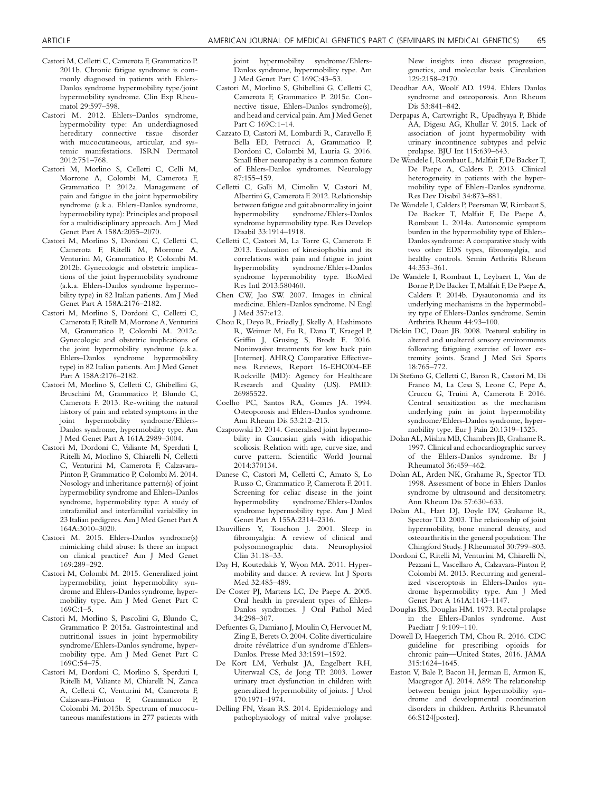- Castori M, Celletti C, Camerota F, Grammatico P. 2011b. Chronic fatigue syndrome is commonly diagnosed in patients with Ehlers-Danlos syndrome hypermobility type/joint hypermobility syndrome. Clin Exp Rheumatol 29:597–598.
- Castori M. 2012. Ehlers–Danlos syndrome, hypermobility type: An underdiagnosed hereditary connective tissue disorder with mucocutaneous, articular, and systemic manifestations. ISRN Dermatol 2012:751–768.
- Castori M, Morlino S, Celletti C, Celli M, Morrone A, Colombi M, Camerota F, Grammatico P. 2012a. Management of pain and fatigue in the joint hypermobility syndrome (a.k.a. Ehlers-Danlos syndrome, hypermobility type): Principles and proposal for a multidisciplinary approach. Am J Med Genet Part A 158A:2055–2070.
- Castori M, Morlino S, Dordoni C, Celletti C, Camerota F, Ritelli M, Morrone A, Venturini M, Grammatico P, Colombi M. 2012b. Gynecologic and obstetric implications of the joint hypermobility syndrome (a.k.a. Ehlers-Danlos syndrome hypermobility type) in 82 Italian patients. Am J Med Genet Part A 158A:2176–2182.
- Castori M, Morlino S, Dordoni C, Celletti C, Camerota F, Ritelli M, Morrone A, Venturini M, Grammatico P, Colombi M. 2012c. Gynecologic and obstetric implications of the joint hypermobility syndrome (a.k.a. Ehlers–Danlos syndrome hypermobility type) in 82 Italian patients. Am J Med Genet Part A 158A:2176–2182.
- Castori M, Morlino S, Celletti C, Ghibellini G, Bruschini M, Grammatico P, Blundo C, Camerota F. 2013. Re-writing the natural history of pain and related symptoms in the joint hypermobility syndrome/Ehlers-Danlos syndrome, hypermobility type. Am J Med Genet Part A 161A:2989–3004.
- Castori M, Dordoni C, Valiante M, Sperduti I, Ritelli M, Morlino S, Chiarelli N, Celletti C, Venturini M, Camerota F, Calzavara-Pinton P, Grammatico P, Colombi M. 2014. Nosology and inheritance pattern(s) of joint hypermobility syndrome and Ehlers-Danlos syndrome, hypermobility type: A study of intrafamilial and interfamilial variability in 23 Italian pedigrees. Am J Med Genet Part A 164A:3010–3020.
- Castori M. 2015. Ehlers-Danlos syndrome(s) mimicking child abuse: Is there an impact on clinical practice? Am J Med Genet 169:289–292.
- Castori M, Colombi M. 2015. Generalized joint hypermobility, joint hypermobility syndrome and Ehlers-Danlos syndrome, hypermobility type. Am J Med Genet Part C 169C:1–5.
- Castori M, Morlino S, Pascolini G, Blundo C, Grammatico P. 2015a. Gastrointestinal and nutritional issues in joint hypermobility syndrome/Ehlers-Danlos syndrome, hypermobility type. Am J Med Genet Part C 169C:54–75.
- Castori M, Dordoni C, Morlino S, Sperduti I, Ritelli M, Valiante M, Chiarelli N, Zanca A, Celletti C, Venturini M, Camerota F, Calzavara-Pinton P, Grammatico P, Colombi M. 2015b. Spectrum of mucocutaneous manifestations in 277 patients with

joint hypermobility syndrome/Ehlers-Danlos syndrome, hypermobility type. Am J Med Genet Part C 169C:43–53.

- Castori M, Morlino S, Ghibellini G, Celletti C, Camerota F, Grammatico P. 2015c. Connective tissue, Ehlers-Danlos syndrome(s), and head and cervical pain. Am J Med Genet Part C 169C:1–14.
- Cazzato D, Castori M, Lombardi R, Caravello F, Bella ED, Petrucci A, Grammatico P, Dordoni C, Colombi M, Lauria G. 2016. Small fiber neuropathy is a common feature of Ehlers-Danlos syndromes. Neurology 87:155–159.
- Celletti C, Galli M, Cimolin V, Castori M, Albertini G, Camerota F. 2012. Relationship between fatigue and gait abnormality in joint<br>hypermobility syndrome/Ehlers-Danlos syndrome/Ehlers-Danlos syndrome hypermobility type. Res Develop Disabil 33:1914–1918.
- Celletti C, Castori M, La Torre G, Camerota F. 2013. Evaluation of kinesiophobia and its correlations with pain and fatigue in joint hypermobility syndrome/Ehlers-Danlos syndrome hypermobility type. BioMed Res Intl 2013:580460.
- Chen CW, Jao SW. 2007. Images in clinical medicine. Ehlers-Danlos syndrome. N Engl J Med 357:e12.
- Chou R, Deyo R, Friedly J, Skelly A, Hashimoto R, Weimer M, Fu R, Dana T, Kraegel P, Griffin J, Grusing S, Brodt E. 2016. Noninvasive treatments for low back pain [Internet]. AHRQ Comparative Effectiveness Reviews, Report 16-EHC004-EF. Rockville (MD): Agency for Healthcare Research and Quality (US). PMID: 26985522.
- Coelho PC, Santos RA, Gomes JA. 1994. Osteoporosis and Ehlers-Danlos syndrome. Ann Rheum Dis 53:212–213.
- Czaprowski D. 2014. Generalised joint hypermobility in Caucasian girls with idiopathic scoliosis: Relation with age, curve size, and curve pattern. Scientific World Journal 2014:370134.
- Danese C, Castori M, Celletti C, Amato S, Lo Russo C, Grammatico P, Camerota F. 2011. Screening for celiac disease in the joint hypermobility syndrome/Ehlers-Danlos syndrome hypermobility type. Am J Med Genet Part A 155A:2314–2316.
- Dauvilliers Y, Touchon J. 2001. Sleep in fibromyalgia: A review of clinical and polysomnographic data. Neurophysiol Clin 31:18–33.
- Day H, Koutedakis Y, Wyon MA. 2011. Hypermobility and dance: A review. Int J Sports Med 32:485–489.
- De Coster PJ, Martens LC, De Paepe A. 2005. Oral health in prevalent types of Ehlers-Danlos syndromes. J Oral Pathol Med 34:298–307.
- Defuentes G, Damiano J, Moulin O, Hervouet M, Zing E, Berets O. 2004. Colite diverticulaire droite révélatrice d'un syndrome d'Ehlers-Danlos. Presse Med 33:1591–1592.
- De Kort LM, Verhulst JA, Engelbert RH, Uiterwaal CS, de Jong TP. 2003. Lower urinary tract dysfunction in children with generalized hypermobility of joints. J Urol 170:1971–1974.
- Delling FN, Vasan RS. 2014. Epidemiology and pathophysiology of mitral valve prolapse:

New insights into disease progression, genetics, and molecular basis. Circulation 129:2158–2170.

- Deodhar AA, Woolf AD. 1994. Ehlers Danlos syndrome and osteoporosis. Ann Rheum Dis 53:841–842.
- Derpapas A, Cartwright R, Upadhyaya P, Bhide AA, Digesu AG, Khullar V. 2015. Lack of association of joint hypermobility with urinary incontinence subtypes and pelvic prolapse. BJU Int 115:639–643.
- De Wandele I, Rombaut L, Malfait F, De Backer T, De Paepe A, Calders P. 2013. Clinical heterogeneity in patients with the hypermobility type of Ehlers-Danlos syndrome. Res Dev Disabil 34:873–881.
- De Wandele I, Calders P, Peersman W, Rimbaut S, De Backer T, Malfait F, De Paepe A, Rombaut L. 2014a. Autonomic symptom burden in the hypermobility type of Ehlers-Danlos syndrome: A comparative study with two other EDS types, fibromyalgia, and healthy controls. Semin Arthritis Rheum 44:353–361.
- De Wandele I, Rombaut L, Leybaert L, Van de Borne P, De Backer T, Malfait F, De Paepe A, Calders P. 2014b. Dysautonomia and its underlying mechanisms in the hypermobility type of Ehlers-Danlos syndrome. Semin Arthritis Rheum 44:93–100.
- Dickin DC, Doan JB. 2008. Postural stability in altered and unaltered sensory environments following fatiguing exercise of lower extremity joints. Scand J Med Sci Sports 18:765–772.
- Di Stefano G, Celletti C, Baron R, Castori M, Di Franco M, La Cesa S, Leone C, Pepe A, Cruccu G, Truini A, Camerota F. 2016. Central sensitization as the mechanism underlying pain in joint hypermobility syndrome/Ehlers-Danlos syndrome, hypermobility type. Eur J Pain 20:1319–1325.
- Dolan AL, Mishra MB, Chambers JB, Grahame R. 1997. Clinical and echocardiographic survey of the Ehlers-Danlos syndrome. Br J Rheumatol 36:459–462.
- Dolan AL, Arden NK, Grahame R, Spector TD. 1998. Assessment of bone in Ehlers Danlos syndrome by ultrasound and densitometry. Ann Rheum Dis 57:630–633.
- Dolan AL, Hart DJ, Doyle DV, Grahame R, Spector TD. 2003. The relationship of joint hypermobility, bone mineral density, and osteoarthritis in the general population: The Chingford Study. J Rheumatol 30:799–803.
- Dordoni C, Ritelli M, Venturini M, Chiarelli N, Pezzani L, Vascellaro A, Calzavara-Pinton P, Colombi M. 2013. Recurring and generalized visceroptosis in Ehlers-Danlos syndrome hypermobility type. Am J Med Genet Part A 161A:1143–1147.
- Douglas BS, Douglas HM. 1973. Rectal prolapse in the Ehlers-Danlos syndrome. Aust Paediatr J 9:109–110.
- Dowell D, Haegerich TM, Chou R. 2016. CDC guideline for prescribing opioids for chronic pain—United States, 2016. JAMA 315:1624–1645.
- Easton V, Bale P, Bacon H, Jerman E, Armon K, Macgregor AJ. 2014. A89: The relationship between benign joint hypermobility syndrome and developmental coordination disorders in children. Arthritis Rheumatol 66:S124[poster].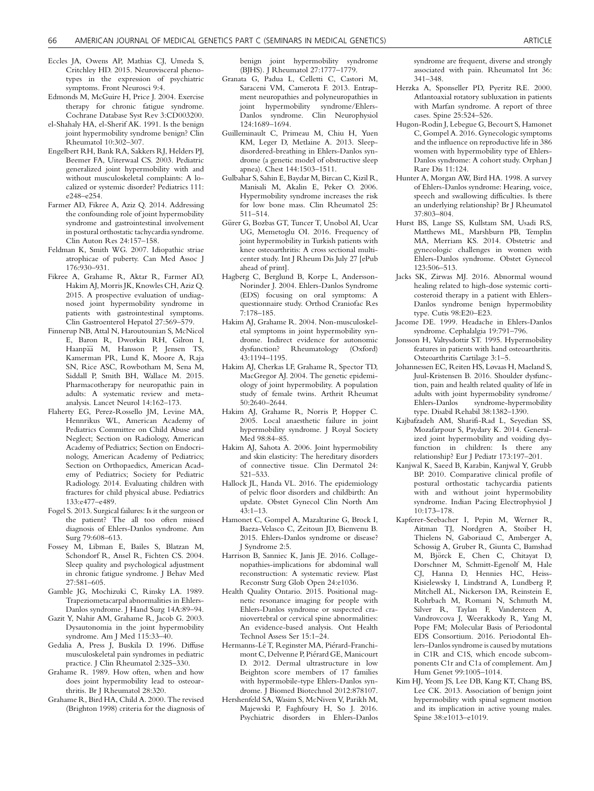- Eccles JA, Owens AP, Mathias CJ, Umeda S, Critchley HD. 2015. Neurovisceral phenotypes in the expression of psychiatric symptoms. Front Neurosci 9:4.
- Edmonds M, McGuire H, Price J. 2004. Exercise therapy for chronic fatigue syndrome. Cochrane Database Syst Rev 3:CD003200.
- el-Shahaly HA, el-Sherif AK. 1991. Is the benign joint hypermobility syndrome benign? Clin Rheumatol 10:302–307.
- Engelbert RH, Bank RA, Sakkers RJ, Helders PJ, Beemer FA, Uiterwaal CS. 2003. Pediatric generalized joint hypermobility with and without musculoskeletal complaints: A localized or systemic disorder? Pediatrics 111: e248–e254.
- Farmer AD, Fikree A, Aziz Q. 2014. Addressing the confounding role of joint hypermobility syndrome and gastrointestinal involvement in postural orthostatic tachycardia syndrome. Clin Auton Res 24:157–158.
- Feldman K, Smith WG. 2007. Idiopathic striae atrophicae of puberty. Can Med Assoc J 176:930–931.
- Fikree A, Grahame R, Aktar R, Farmer AD, Hakim AJ, Morris JK, Knowles CH, Aziz Q. 2015. A prospective evaluation of undiagnosed joint hypermobility syndrome in patients with gastrointestinal symptoms. Clin Gastroenterol Hepatol 27:569–579.
- Finnerup NB, Attal N, Haroutounian S, McNicol E, Baron R, Dworkin RH, Gilron I, Haanpää M, Hansson P, Jensen TS, Kamerman PR, Lund K, Moore A, Raja SN, Rice ASC, Rowbotham M, Sena M, Siddall P, Smith BH, Wallace M. 2015. Pharmacotherapy for neuropathic pain in adults: A systematic review and metaanalysis. Lancet Neurol 14:162–173.
- Flaherty EG, Perez-Rossello JM, Levine MA, Hennrikus WL, American Academy of Pediatrics Committee on Child Abuse and Neglect; Section on Radiology, American Academy of Pediatrics; Section on Endocrinology, American Academy of Pediatrics; Section on Orthopaedics, American Academy of Pediatrics; Society for Pediatric Radiology. 2014. Evaluating children with fractures for child physical abuse. Pediatrics 133:e477–e489.
- Fogel S. 2013. Surgical failures: Is it the surgeon or the patient? The all too often missed diagnosis of Ehlers-Danlos syndrome. Am Surg 79:608–613.
- Fossey M, Libman E, Bailes S, Blatzan M, Schondorf R, Ansel R, Fichten CS. 2004. Sleep quality and psychological adjustment in chronic fatigue syndrome. J Behav Med 27:581–605.
- Gamble JG, Mochizuki C, Rinsky LA. 1989. Trapeziometacarpal abnormalities in Ehlers-Danlos syndrome. J Hand Surg 14A:89–94.
- Gazit Y, Nahir AM, Grahame R, Jacob G. 2003. Dysautonomia in the joint hypermobility syndrome. Am J Med 115:33–40.
- Gedalia A, Press J, Buskila D. 1996. Diffuse musculoskeletal pain syndromes in pediatric practice. J Clin Rheumatol 2:325–330.
- Grahame R. 1989. How often, when and how does joint hypermobility lead to osteoarthritis. Br J Rheumatol 28:320.
- Grahame R, Bird HA, Child A. 2000. The revised (Brighton 1998) criteria for the diagnosis of

benign joint hypermobility syndrome (BJHS). J Rheumatol 27:1777–1779.

- Granata G, Padua L, Celletti C, Castori M, Saraceni VM, Camerota F. 2013. Entrapment neuropathies and polyneuropathies in joint hypermobility syndrome/Ehlers-Danlos syndrome. Clin Neurophysiol 124:1689–1694.
- Guilleminault C, Primeau M, Chiu H, Yuen KM, Leger D, Metlaine A. 2013. Sleepdisordered-breathing in Ehlers-Danlos syndrome (a genetic model of obstructive sleep apnea). Chest 144:1503–1511.
- Gulbahar S, Sahin E, Baydar M, Bircan C, Kizil R, Manisali M, Akalin E, Peker O. 2006. Hypermobility syndrome increases the risk for low bone mass. Clin Rheumatol 25: 511–514.
- Gürer G, Bozbas GT, Tuncer T, Unobol AI, Ucar UG, Memetoglu OI. 2016. Frequency of joint hypermobility in Turkish patients with knee osteoarthritis: A cross sectional multicenter study. Int J Rheum Dis July 27 [ePub ahead of print].
- Hagberg C, Berglund B, Korpe L, Andersson-Norinder J. 2004. Ehlers-Danlos Syndrome (EDS) focusing on oral symptoms: A questionnaire study. Orthod Craniofac Res 7:178–185.
- Hakim AJ, Grahame R. 2004. Non-musculoskeletal symptoms in joint hypermobility syndrome. Indirect evidence for autonomic dysfunction? Rheumatology (Oxford) 43:1194–1195.
- Hakim AJ, Cherkas LF, Grahame R, Spector TD, MacGregor AJ. 2004. The genetic epidemiology of joint hypermobility. A population study of female twins. Arthrit Rheumat 50:2640–2644.
- Hakim AJ, Grahame R, Norris P, Hopper C. 2005. Local anaesthetic failure in joint hypermobility syndrome. J Royal Society Med 98:84–85.
- Hakim AJ, Sahota A. 2006. Joint hypermobility and skin elasticity: The hereditary disorders of connective tissue. Clin Dermatol 24: 521–533.
- Hallock JL, Handa VL. 2016. The epidemiology of pelvic floor disorders and childbirth: An update. Obstet Gynecol Clin North Am 43:1–13.
- Hamonet C, Gompel A, Mazaltarine G, Brock I, Baeza-Velasco C, Zeitoun JD, Bienvenu B. 2015. Ehlers-Danlos syndrome or disease? J Syndrome 2:5.
- Harrison B, Sanniec K, Janis JE. 2016. Collagenopathies-implications for abdominal wall reconstruction: A systematic review. Plast Reconstr Surg Glob Open 24:e1036.
- Health Quality Ontario. 2015. Positional magnetic resonance imaging for people with Ehlers-Danlos syndrome or suspected craniovertebral or cervical spine abnormalities: An evidence-based analysis. Ont Health Technol Assess Ser 15:1–24.
- Hermanns-Lê T, Reginster MA, Piérard-Franchimont C, Delvenne P, Piérard GE, Manicourt D. 2012. Dermal ultrastructure in low Beighton score members of 17 families with hypermobile-type Ehlers-Danlos syndrome. J Biomed Biotechnol 2012:878107.
- Hershenfeld SA, Wasim S, McNiven V, Parikh M, Majewski P, Faghfoury H, So J. 2016. Psychiatric disorders in Ehlers-Danlos

syndrome are frequent, diverse and strongly associated with pain. Rheumatol Int 36: 341–348.

- Herzka A, Sponseller PD, Pyeritz RE. 2000. Atlantoaxial rotatory subluxation in patients with Marfan syndrome. A report of three cases. Spine 25:524–526.
- Hugon-Rodin J, Lebegue G, Becourt S, Hamonet C, Gompel A. 2016. Gynecologic symptoms and the influence on reproductive life in 386 women with hypermobility type of Ehlers-Danlos syndrome: A cohort study. Orphan J Rare Dis 11:124.
- Hunter A, Morgan AW, Bird HA. 1998. A survey of Ehlers-Danlos syndrome: Hearing, voice, speech and swallowing difficulties. Is there an underlying relationship? Br J Rheumatol 37:803–804.
- Hurst BS, Lange SS, Kullstam SM, Usadi RS, Matthews ML, Marshburn PB, Templin MA, Merriam KS. 2014. Obstetric and gynecologic challenges in women with Ehlers-Danlos syndrome. Obstet Gynecol 123:506–513.
- Jacks SK, Zirwas MJ. 2016. Abnormal wound healing related to high-dose systemic corticosteroid therapy in a patient with Ehlers-Danlos syndrome benign hypermobility type. Cutis 98:E20–E23.
- Jacome DE. 1999. Headache in Ehlers-Danlos syndrome. Cephalalgia 19:791–796.
- Jonsson H, Valtysdottir ST. 1995. Hypermobility features in patients with hand osteoarthritis. Osteoarthritis Cartilage 3:1–5.
- Johannessen EC, Reiten HS, Løvaas H, Maeland S, Juul-Kristensen B. 2016. Shoulder dysfunction, pain and health related quality of life in adults with joint hypermobility syndrome/ Ehlers-Danlos syndrome-hypermobility type. Disabil Rehabil 38:1382–1390.
- Kajbafzadeh AM, Sharifi-Rad L, Seyedian SS, Mozafarpour S, Paydary K. 2014. Generalized joint hypermobility and voiding dysfunction in children: Is there any relationship? Eur J Pediatr 173:197–201.
- Kanjwal K, Saeed B, Karabin, Kanjwal Y, Grubb BP. 2010. Comparative clinical profile of postural orthostatic tachycardia patients with and without joint hypermobility syndrome. Indian Pacing Electrophysiol J 10:173–178.
- Kapferer-Seebacher I, Pepin M, Werner R, Aitman TJ, Nordgren A, Stoiber H, Thielens N, Gaboriaud C, Amberger A, Schossig A, Gruber R, Giunta C, Bamshad M, Björck E, Chen C, Chitayat D, Dorschner M, Schmitt-Egenolf M, Hale CJ, Hanna D, Hennies HC, Heiss-Kisielewsky I, Lindstrand A, Lundberg P, Mitchell AL, Nickerson DA, Reinstein E, Rohrbach M, Romani N, Schmuth M, Silver R, Taylan F, Vandersteen A, Vandrovcova J, Weerakkody R, Yang M, Pope FM; Molecular Basis of Periodontal EDS Consortium. 2016. Periodontal Ehlers–Danlos syndrome is caused by mutations in C1R and C1S, which encode subcomponents C1r and C1a of complement. Am J Hum Genet 99:1005–1014.
- Kim HJ, Yeom JS, Lee DB, Kang KT, Chang BS, Lee CK. 2013. Association of benign joint hypermobility with spinal segment motion and its implication in active young males. Spine 38:e1013–e1019.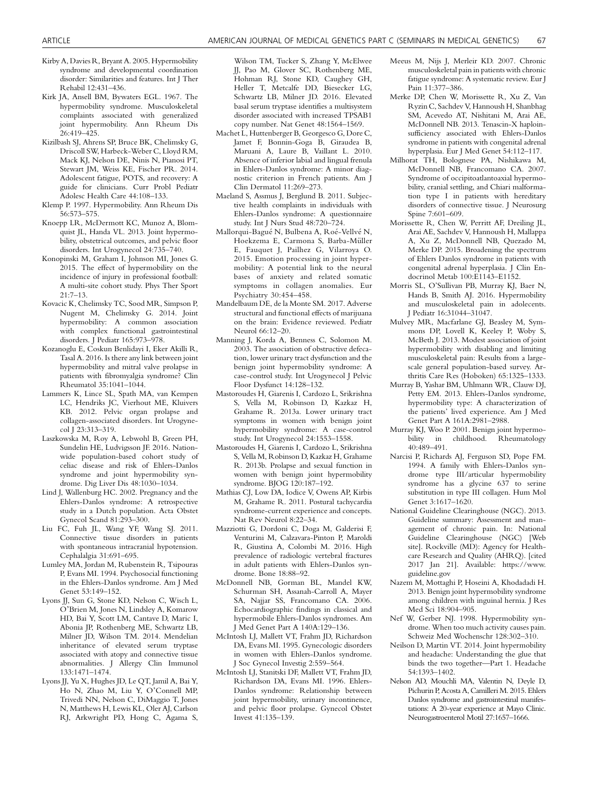- Kirby A, Davies R, Bryant A. 2005. Hypermobility syndrome and developmental coordination disorder: Similarities and features. Int J Ther Rehabil 12:431–436.
- Kirk JA, Ansell BM, Bywaters EGL. 1967. The hypermobility syndrome. Musculoskeletal complaints associated with generalized joint hypermobility. Ann Rheum Dis 26:419–425.
- Kizilbash SJ, Ahrens SP, Bruce BK, Chelimsky G, Driscoll SW, Harbeck-Weber C, Lloyd RM, Mack KJ, Nelson DE, Ninis N, Pianosi PT, Stewart JM, Weiss KE, Fischer PR. 2014. Adolescent fatigue, POTS, and recovery: A guide for clinicians. Curr Probl Pediatr Adolesc Health Care 44:108–133.
- Klemp P. 1997. Hypermobility. Ann Rheum Dis 56:573–575.
- Knoepp LR, McDermott KC, Munoz A, Blomquist JL, Handa VL. 2013. Joint hypermobility, obstetrical outcomes, and pelvic floor disorders. Int Urogynecol 24:735–740.
- Konopinski M, Graham I, Johnson MI, Jones G. 2015. The effect of hypermobility on the incidence of injury in professional football: A multi-site cohort study. Phys Ther Sport 21:7–13.
- Kovacic K, Chelimsky TC, Sood MR, Simpson P, Nugent M, Chelimsky G. 2014. Joint hypermobility: A common association with complex functional gastrointestinal disorders. J Pediatr 165:973–978.
- Kozanoglu E, Coskun Benlidayi I, Eker Akilli R, Tasal A. 2016. Is there any link between joint hypermobility and mitral valve prolapse in patients with fibromyalgia syndrome? Clin Rheumatol 35:1041–1044.
- Lammers K, Lince SL, Spath MA, van Kempen LC, Hendriks JC, Vierhout ME, Kluivers KB. 2012. Pelvic organ prolapse and collagen-associated disorders. Int Urogynecol J 23:313–319.
- Laszkowska M, Roy A, Lebwohl B, Green PH, Sundelin HE, Ludvigsson JF. 2016. Nationwide population-based cohort study of celiac disease and risk of Ehlers-Danlos syndrome and joint hypermobility syndrome. Dig Liver Dis 48:1030–1034.
- Lind J, Wallenburg HC. 2002. Pregnancy and the Ehlers-Danlos syndrome: A retrospective study in a Dutch population. Acta Obstet Gynecol Scand 81:293–300.
- Liu FC, Fuh JL, Wang YF, Wang SJ. 2011. Connective tissue disorders in patients with spontaneous intracranial hypotension. Cephalalgia 31:691–695.
- Lumley MA, Jordan M, Rubenstein R, Tsipouras P, Evans MI. 1994. Psychosocial functioning in the Ehlers-Danlos syndrome. Am J Med Genet 53:149–152.
- Lyons JJ, Sun G, Stone KD, Nelson C, Wisch L, O'Brien M, Jones N, Lindsley A, Komarow HD, Bai Y, Scott LM, Cantave D, Maric I, Abonia JP, Rothenberg ME, Schwartz LB, Milner ID, Wilson TM, 2014. Mendelian inheritance of elevated serum tryptase associated with atopy and connective tissue abnormalities. J Allergy Clin Immunol 133:1471–1474.
- Lyons JJ, Yu X, Hughes JD, Le QT, Jamil A, Bai Y, Ho N, Zhao M, Liu Y, O'Connell MP, Trivedi NN, Nelson C, DiMaggio T, Jones N, Matthews H, Lewis KL, Oler AJ, Carlson RJ, Arkwright PD, Hong C, Agama S,

Wilson TM, Tucker S, Zhang Y, McElwee JJ, Pao M, Glover SC, Rothenberg ME, Hohman RJ, Stone KD, Caughey GH, Heller T, Metcalfe DD, Biesecker LG, Schwartz LB, Milner JD. 2016. Elevated basal serum tryptase identifies a multisystem disorder associated with increased TPSAB1 copy number. Nat Genet 48:1564–1569.

- Machet L, Huttenberger B, Georgesco G, Dore C, Jamet F, Bonnin-Goga B, Giraudea B, Maruani A, Laure B, Vaillant L. 2010. Absence of inferior labial and lingual frenula in Ehlers-Danlos syndrome: A minor diagnostic criterion in French patients. Am J Clin Dermatol 11:269–273.
- Maeland S, Assmus J, Berglund B. 2011. Subjective health complaints in individuals with Ehlers-Danlos syndrome: A questionnaire study. Int J Nurs Stud 48:720–724.
- Mallorqui-Bagué N, Bulbena A, Roé-Vellvé N, Hoekzema E, Carmona S, Barba-Müller E, Fauquet J, Pailhez G, Vilarroya O. 2015. Emotion processing in joint hypermobility: A potential link to the neural bases of anxiety and related somatic symptoms in collagen anomalies. Eur Psychiatry 30:454–458.
- Mandelbaum DE, de la Monte SM. 2017. Adverse structural and functional effects of marijuana on the brain: Evidence reviewed. Pediatr Neurol 66:12–20.
- Manning J, Korda A, Benness C, Solomon M. 2003. The association of obstructive defecation, lower urinary tract dysfunction and the benign joint hypermobility syndrome: A case-control study. Int Urogynecol J Pelvic Floor Dysfunct 14:128–132.
- Mastoroudes H, Giarenis I, Cardozo L, Srikrishna S, Vella M, Robinson D, Kazkaz H, Grahame R. 2013a. Lower urinary tract symptoms in women with benign joint hypermobility syndrome: A case-control study. Int Urogynecol 24:1553–1558.
- Mastoroudes H, Giarenis I, Cardozo L, Srikrishna S, Vella M, Robinson D, Kazkaz H, Grahame R. 2013b. Prolapse and sexual function in women with benign joint hypermobility syndrome. BJOG 120:187–192.
- Mathias CJ, Low DA, Iodice V, Owens AP, Kirbis M, Grahame R. 2011. Postural tachycardia syndrome-current experience and concepts. Nat Rev Neurol 8:22–34.
- Mazziotti G, Dordoni C, Doga M, Galderisi F, Venturini M, Calzavara-Pinton P, Maroldi R, Giustina A, Colombi M. 2016. High prevalence of radiologic vertebral fractures in adult patients with Ehlers-Danlos syndrome. Bone 18:88–92.
- McDonnell NB, Gorman BL, Mandel KW, Schurman SH, Assanah-Carroll A, Mayer SA, Najjar SS, Francomano CA. 2006. Echocardiographic findings in classical and hypermobile Ehlers-Danlos syndromes. Am J Med Genet Part A 140A:129–136.
- McIntosh LJ, Mallett VT, Frahm JD, Richardson DA, Evans MI. 1995. Gynecologic disorders in women with Ehlers-Danlos syndrome. J Soc Gynecol Investig 2:559–564.
- McIntosh LJ, Stanitski DF, Mallett VT, Frahm JD, Richardson DA, Evans MI. 1996. Ehlers-Danlos syndrome: Relationship between joint hypermobility, urinary incontinence, and pelvic floor prolapse. Gynecol Obstet Invest 41:135–139.
- Meeus M, Nijs J, Merleir KD. 2007. Chronic musculoskeletal pain in patients with chronic fatigue syndrome: A systematic review. Eur J Pain 11:377–386.
- Merke DP, Chen W, Morissette R, Xu Z, Van Ryzin C, Sachdev V, Hannoush H, Shanbhag SM, Acevedo AT, Nishitani M, Arai AE, McDonnell NB. 2013. Tenascin-X haploinsufficiency associated with Ehlers-Danlos syndrome in patients with congenital adrenal hyperplasia. Eur J Med Genet 54:112–117.
- Milhorat TH, Bolognese PA, Nishikawa M, McDonnell NB, Francomano CA. 2007. Syndrome of occipitoatlantoaxial hypermobility, cranial settling, and Chiari malformation type I in patients with hereditary disorders of connective tissue. J Neurosurg Spine 7:601–609.
- Morissette R, Chen W, Perritt AF, Dreiling JL, Arai AE, Sachdev V, Hannoush H, Mallappa A, Xu Z, McDonnell NB, Quezado M, Merke DP. 2015. Broadening the spectrum of Ehlers Danlos syndrome in patients with congenital adrenal hyperplasia. J Clin Endocrinol Metab 100:E1143–E1152.
- Morris SL, O'Sullivan PB, Murray KJ, Baer N, Hands B, Smith AJ. 2016. Hypermobility and musculoskeletal pain in adolecents. J Pediatr 16:31044–31047.
- Mulvey MR, Macfarlane GJ, Beasley M, Symmons DP, Lovell K, Keeley P, Woby S, McBeth J. 2013. Modest association of joint hypermobility with disabling and limiting musculoskeletal pain: Results from a largescale general population-based survey. Arthritis Care Res (Hoboken) 65:1325–1333.
- Murray B, Yashar BM, Uhlmann WR, Clauw DJ, Petty EM. 2013. Ehlers-Danlos syndrome, hypermobility type: A characterization of the patients' lived experience. Am J Med Genet Part A 161A:2981–2988.
- Murray KJ, Woo P. 2001. Benign joint hypermobility in childhood. Rheumatology 40:489–491.
- Narcisi P, Richards AJ, Ferguson SD, Pope FM. 1994. A family with Ehlers-Danlos syndrome type III/articular hypermobility syndrome has a glycine 637 to serine substitution in type III collagen. Hum Mol Genet 3:1617–1620.
- National Guideline Clearinghouse (NGC). 2013. Guideline summary: Assessment and management of chronic pain. In: National Guideline Clearinghouse (NGC) [Web site]. Rockville (MD): Agency for Healthcare Research and Quality (AHRQ). [cited 2017 Jan 21]. Available: [https://www.](https://www.guideline.gov) [guideline.gov](https://www.guideline.gov)
- Nazem M, Mottaghi P, Hoseini A, Khodadadi H. 2013. Benign joint hypermobility syndrome among children with inguinal hernia. J Res Med Sci 18:904–905.
- Nef W, Gerber NJ. 1998. Hypermobility syndrome. When too much activity causes pain. Schweiz Med Wochenschr 128:302–310.
- Neilson D, Martin VT. 2014. Joint hypermobility and headache: Understanding the glue that binds the two together—Part 1. Headache 54:1393–1402.
- Nelson AD, Mouchli MA, Valentin N, Deyle D, Pichurin P, Acosta A, Camilleri M. 2015. Ehlers Danlos syndrome and gastrointestinal manifestations: A 20-year experience at Mayo Clinic. Neurogastroenterol Motil 27:1657–1666.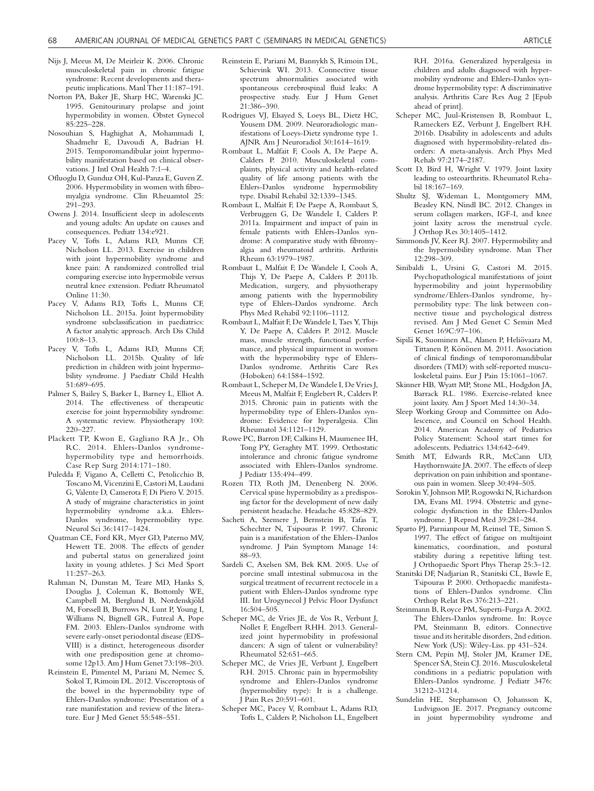- Nijs J, Meeus M, De Meirleir K. 2006. Chronic musculoskeletal pain in chronic fatigue syndrome: Recent developments and therapeutic implications. Manl Ther 11:187–191.
- Norton PA, Baker JE, Sharp HC, Warenski JC. 1995. Genitourinary prolapse and joint hypermobility in women. Obstet Gynecol 85:225–228.
- Nosouhian S, Haghighat A, Mohammadi I, Shadmehr E, Davoudi A, Badrian H. 2015. Temporomandibular joint hypermobility manifestation based on clinical observations. J Intl Oral Health 7:1–4.
- Ofluoglu D, Gunduz OH, Kul-Panza E, Guven Z. 2006. Hypermobility in women with fibromyalgia syndrome. Clin Rheuamtol 25: 291–293.
- Owens J. 2014. Insufficient sleep in adolescents and young adults: An update on causes and consequences. Pediatr 134:e921.
- Pacey V, Tofts L, Adams RD, Munns CF, Nicholson LL. 2013. Exercise in children with joint hypermobility syndrome and knee pain: A randomized controlled trial comparing exercise into hypermobile versus neutral knee extension. Pediatr Rheumatol Online 11:30.
- Pacey V, Adams RD, Tofts L, Munns CF, Nicholson LL. 2015a. Joint hypermobility syndrome subclassification in paediatrics: A factor analytic approach. Arch Dis Child 100:8–13.
- Pacey V, Tofts L, Adams RD, Munns CF, Nicholson LL. 2015b. Quality of life prediction in children with joint hypermobility syndrome. J Paediatr Child Health 51:689–695.
- Palmer S, Bailey S, Barker L, Barney L, Elliot A. 2014. The effectiveness of therapeutic exercise for joint hypermobility syndrome: A systematic review. Physiotherapy 100: 220–227.
- Plackett TP, Kwon E, Gagliano RA Jr., Oh RC. 2014. Ehlers-Danlos syndromehypermobility type and hemorrhoids. Case Rep Surg 2014:171–180.
- Puledda F, Vigano A, Celletti C, Petolicchio B, Toscano M, Vicenzini E, Castori M, Laudani G, Valente D, Camerota F, Di Piero V. 2015. A study of migraine characteristics in joint hypermobility syndrome a.k.a. Ehlers-Danlos syndrome, hypermobility type. Neurol Sci 36:1417–1424.
- Quatman CE, Ford KR, Myer GD, Paterno MV, Hewett TE. 2008. The effects of gender and pubertal status on generalized joint laxity in young athletes. J Sci Med Sport 11:257–263.
- Rahman N, Dunstan M, Teare MD, Hanks S, Douglas J, Coleman K, Bottomly WE, Campbell M, Berglund B, Nordenskjöld M, Forssell B, Burrows N, Lunt P, Young I, Williams N, Bignell GR, Futreal A, Pope FM. 2003. Ehlers-Danlos syndrome with severe early-onset periodontal disease (EDS-VIII) is a distinct, heterogeneous disorder with one predisposition gene at chromosome 12p13. Am J Hum Genet 73:198–203.
- Reinstein E, Pimentel M, Pariani M, Nemec S, Sokol T, Rimoin DL. 2012. Visceroptosis of the bowel in the hypermobility type of Ehlers-Danlos syndrome: Presentation of a rare manifestation and review of the literature. Eur J Med Genet 55:548–551.
- Reinstein E, Pariani M, Bannykh S, Rimoin DL, Schievink WI. 2013. Connective tissue spectrum abnormalities associated with spontaneous cerebrospinal fluid leaks: A prospective study. Eur J Hum Genet 21:386–390.
- Rodrigues VJ, Elsayed S, Loeys BL, Dietz HC, Yousem DM. 2009. Neuroradiologic manifestations of Loeys-Dietz syndrome type 1. AJNR Am J Neuroradiol 30:1614–1619.
- Rombaut L, Malfait F, Cools A, De Paepe A, Calders P. 2010. Musculoskeletal complaints, physical activity and health-related quality of life among patients with the Ehlers-Danlos syndrome hypermobility type. Disabil Rehabil 32:1339–1345.
- Rombaut L, Malfait F, De Paepe A, Rombaut S, Verbruggen G, De Wandele I, Calders P. 2011a. Impairment and impact of pain in female patients with Ehlers-Danlos syndrome: A comparative study with fibromyalgia and rheumatoid arthritis. Arthritis Rheum 63:1979–1987.
- Rombaut L, Malfait F, De Wandele I, Cools A, Thijs Y, De Paepe A, Calders P. 2011b. Medication, surgery, and physiotherapy among patients with the hypermobility type of Ehlers-Danlos syndrome. Arch Phys Med Rehabil 92:1106–1112.
- Rombaut L, Malfait F, De Wandele I, Taes Y, Thijs Y, De Paepe A, Calders P. 2012. Muscle mass, muscle strength, functional performance, and physical impairment in women with the hypermobility type of Ehlers-Danlos syndrome. Arthritis Care Res (Hoboken) 64:1584–1592.
- Rombaut L, Scheper M, De Wandele I, De Vries J, Meeus M, Malfait F, Englebert R, Calders P. 2015. Chronic pain in patients with the hypermobility type of Ehlers-Danlos syndrome: Evidence for hyperalgesia. Clin Rheumatol 34:1121–1129.
- Rowe PC, Barron DF, Calkins H, Maumenee IH, Tong PY, Geraghty MT. 1999. Orthostatic intolerance and chronic fatigue syndrome associated with Ehlers-Danlos syndrome. J Pediatr 135:494–499.
- Rozen TD, Roth JM, Denenberg N. 2006. Cervical spine hypermobility as a predisposing factor for the development of new daily persistent headache. Headache 45:828–829.
- Sacheti A, Szemere J, Bernstein B, Tafas T, Schechter N, Tsipouras P. 1997. Chronic pain is a manifestation of the Ehlers-Danlos syndrome. J Pain Symptom Manage 14: 88–93.
- Sardeli C, Axelsen SM, Bek KM. 2005. Use of porcine small intestinal submucosa in the surgical treatment of recurrent rectocele in a patient with Ehlers-Danlos syndrome type III. Int Urogynecol J Pelvic Floor Dysfunct 16:504–505.
- Scheper MC, de Vries JE, de Vos R, Verbunt J, Nollet F, Engelbert RHH. 2013. Generalized joint hypermobility in professional dancers: A sign of talent or vulnerability? Rheumatol 52:651–665.
- Scheper MC, de Vries JE, Verbunt J, Engelbert RH. 2015. Chronic pain in hypermobility syndrome and Ehlers-Danlos syndrome (hypermobility type): It is a challenge. J Pain Res 20:591–601.
- Scheper MC, Pacey V, Rombaut L, Adams RD, Tofts L, Calders P, Nicholson LL, Engelbert

RH. 2016a. Generalized hyperalgesia in children and adults diagnosed with hypermobility syndrome and Ehlers-Danlos syndrome hypermobility type: A discriminative analysis. Arthritis Care Res Aug 2 [Epub ahead of print].

- Scheper MC, Juul-Kristensen B, Rombaut L, Rameckers EZ, Verbunt J, Engelbert RH. 2016b. Disability in adolescents and adults diagnosed with hypermobility-related disorders: A meta-analysis. Arch Phys Med Rehab 97:2174–2187.
- Scott D, Bird H, Wright V. 1979. Joint laxity leading to osteoarthritis. Rheumatol Rehabil 18:167–169.
- Shultz SJ, Wideman L, Montgomery MM, Beasley KN, Nindl BC. 2012. Changes in serum collagen markers, IGF-I, and knee joint laxity across the menstrual cycle. J Orthop Res 30:1405–1412.
- Simmonds JV, Keer RJ. 2007. Hypermobility and the hypermobility syndrome. Man Ther 12:298–309.
- Sinibaldi L, Ursini G, Castori M. 2015. Psychopathological manifestations of joint hypermobility and joint hypermobility syndrome/Ehlers-Danlos syndrome, hypermobility type: The link between connective tissue and psychological distress revised. Am J Med Genet C Semin Med Genet 169C:97–106.
- Sipilä K, Suominen AL, Alanen P, Heliövaara M, Tittanen P, Könönen M, 2011. Association of clinical findings of temporomandibular disorders (TMD) with self-reported musculoskeletal pains. Eur J Pain 15:1061–1067.
- Skinner HB, Wyatt MP, Stone ML, Hodgdon JA, Barrack RL. 1986. Exercise-related knee joint laxity. Am J Sport Med 14:30–34.
- Sleep Working Group and Committee on Adolescence, and Council on School Health. 2014. American Academy of Pediatrics Policy Statement: School start times for adolescents. Pediatrics 134:642–649.
- Smith MT, Edwards RR, McCann UD, Haythornwaite JA. 2007. The effects of sleep deprivation on pain inhibition and spontaneous pain in women. Sleep 30:494–505.
- Sorokin Y, Johnson MP, Rogowski N, Richardson DA, Evans MI. 1994. Obstetric and gynecologic dysfunction in the Ehlers-Danlos syndrome. J Reprod Med 39:281–284.
- Sparto PJ, Parnianpour M, Reinsel TE, Simon S. 1997. The effect of fatigue on multijoint kinematics, coordination, and postural stability during a repetitive lifting test. J Orthopaedic Sport Phys Therap 25:3–12.
- Stanitski DF, Nadjarian R, Stanitski CL, Bawle E, Tsipouras P. 2000. Orthopaedic manifestations of Ehlers-Danlos syndrome. Clin Orthop Relat Res 376:213–221.
- Steinmann B, Royce PM, Superti-Furga A. 2002. The Ehlers-Danlos syndrome. In: Royce PM, Steinmann B, editors. Connective tissue and its heritable disorders, 2nd edition. New York (US): Wiley-Liss. pp 431–524.
- Stern CM, Pepin MI, Stoler JM, Kramer DE, Spencer SA, Stein CJ. 2016. Musculoskeletal conditions in a pediatric population with Ehlers-Danlos syndrome. J Pediatr 3476: 31212–31214.
- Sundelin HE, Stephansson O, Johansson K, Ludvigsson JE. 2017. Pregnancy outcome in joint hypermobility syndrome and